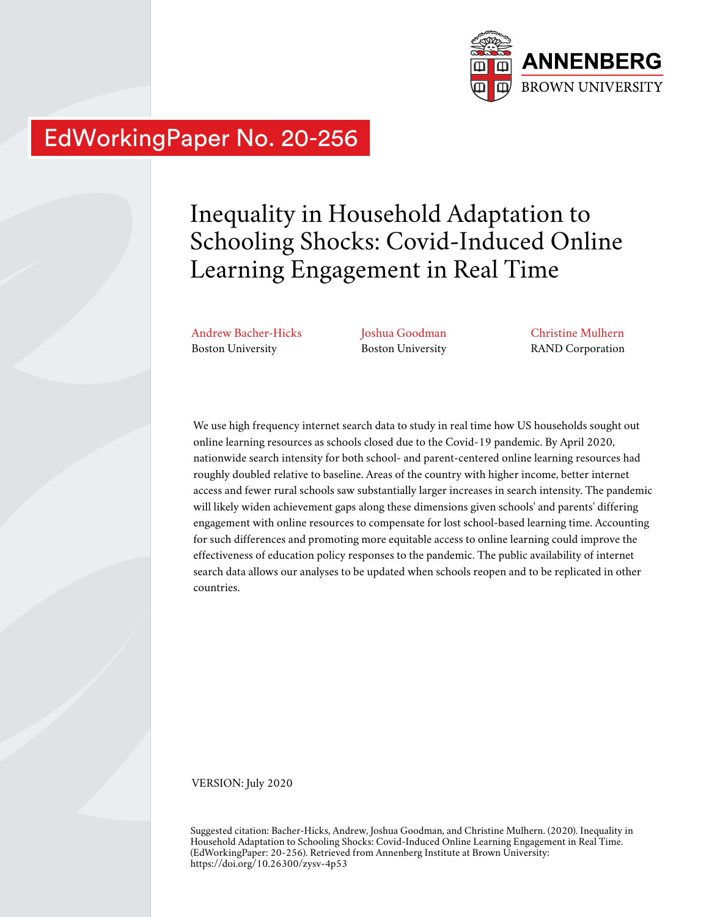

# EdWorkingPaper No. 20-256

# Inequality in Household Adaptation to Schooling Shocks: Covid-Induced Online Learning Engagement in Real Time

Andrew Bacher-Hicks Boston University

Joshua Goodman Boston University Christine Mulhern RAND Corporation

We use high frequency internet search data to study in real time how US households sought out online learning resources as schools closed due to the Covid-19 pandemic. By April 2020, nationwide search intensity for both school- and parent-centered online learning resources had roughly doubled relative to baseline. Areas of the country with higher income, better internet access and fewer rural schools saw substantially larger increases in search intensity. The pandemic will likely widen achievement gaps along these dimensions given schools' and parents' differing engagement with online resources to compensate for lost school-based learning time. Accounting for such differences and promoting more equitable access to online learning could improve the effectiveness of education policy responses to the pandemic. The public availability of internet search data allows our analyses to be updated when schools reopen and to be replicated in other countries.

VERSION: July 2020

Suggested citation: Bacher-Hicks, Andrew, Joshua Goodman, and Christine Mulhern. (2020). Inequality in Household Adaptation to Schooling Shocks: Covid-Induced Online Learning Engagement in Real Time. (EdWorkingPaper: 20-256). Retrieved from Annenberg Institute at Brown University: https://doi.org/10.26300/zysv-4p53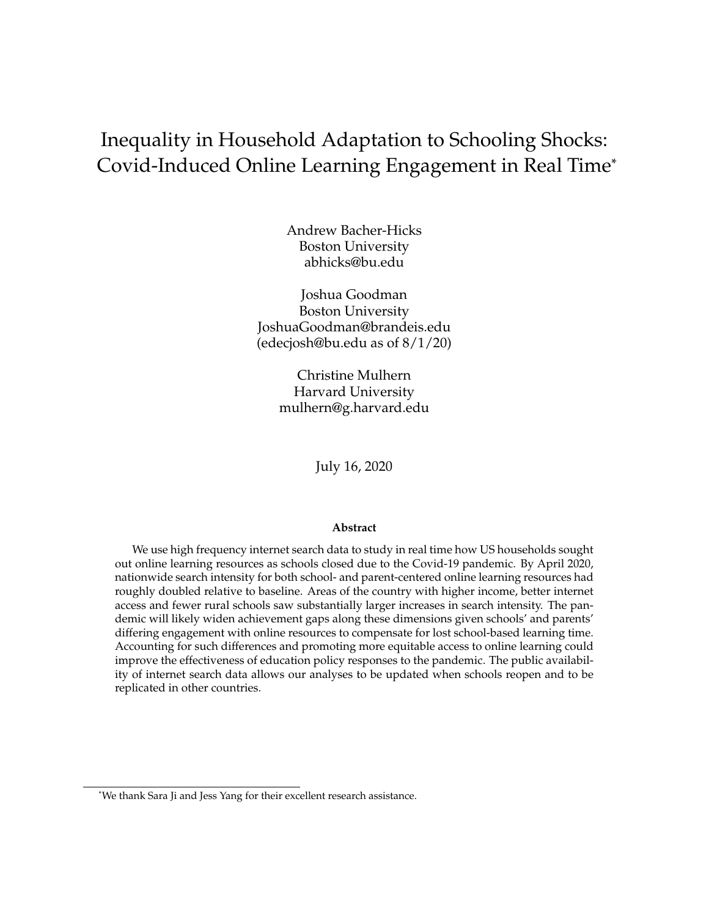# Inequality in Household Adaptation to Schooling Shocks: Covid-Induced Online Learning Engagement in Real Time\*

Andrew Bacher-Hicks Boston University abhicks@bu.edu

Joshua Goodman Boston University JoshuaGoodman@brandeis.edu (edecjosh@bu.edu as of 8/1/20)

> Christine Mulhern Harvard University mulhern@g.harvard.edu

> > July 16, 2020

#### **Abstract**

We use high frequency internet search data to study in real time how US households sought out online learning resources as schools closed due to the Covid-19 pandemic. By April 2020, nationwide search intensity for both school- and parent-centered online learning resources had roughly doubled relative to baseline. Areas of the country with higher income, better internet access and fewer rural schools saw substantially larger increases in search intensity. The pandemic will likely widen achievement gaps along these dimensions given schools' and parents' differing engagement with online resources to compensate for lost school-based learning time. Accounting for such differences and promoting more equitable access to online learning could improve the effectiveness of education policy responses to the pandemic. The public availability of internet search data allows our analyses to be updated when schools reopen and to be replicated in other countries.

<sup>\*</sup>We thank Sara Ji and Jess Yang for their excellent research assistance.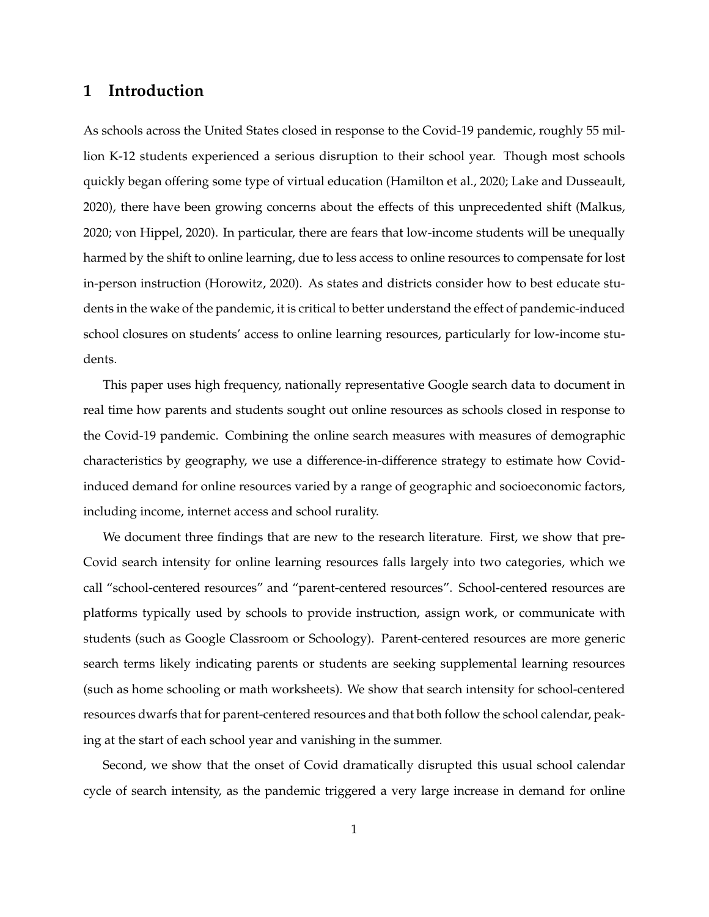### **1 Introduction**

As schools across the United States closed in response to the Covid-19 pandemic, roughly 55 million K-12 students experienced a serious disruption to their school year. Though most schools quickly began offering some type of virtual education [\(Hamilton et al.,](#page-14-0) [2020;](#page-14-0) [Lake and Dusseault,](#page-15-0) [2020\)](#page-15-0), there have been growing concerns about the effects of this unprecedented shift [\(Malkus,](#page-15-1) [2020;](#page-15-1) [von Hippel,](#page-15-2) [2020\)](#page-15-2). In particular, there are fears that low-income students will be unequally harmed by the shift to online learning, due to less access to online resources to compensate for lost in-person instruction [\(Horowitz,](#page-14-1) [2020\)](#page-14-1). As states and districts consider how to best educate students in the wake of the pandemic, it is critical to better understand the effect of pandemic-induced school closures on students' access to online learning resources, particularly for low-income students.

This paper uses high frequency, nationally representative Google search data to document in real time how parents and students sought out online resources as schools closed in response to the Covid-19 pandemic. Combining the online search measures with measures of demographic characteristics by geography, we use a difference-in-difference strategy to estimate how Covidinduced demand for online resources varied by a range of geographic and socioeconomic factors, including income, internet access and school rurality.

We document three findings that are new to the research literature. First, we show that pre-Covid search intensity for online learning resources falls largely into two categories, which we call "school-centered resources" and "parent-centered resources". School-centered resources are platforms typically used by schools to provide instruction, assign work, or communicate with students (such as Google Classroom or Schoology). Parent-centered resources are more generic search terms likely indicating parents or students are seeking supplemental learning resources (such as home schooling or math worksheets). We show that search intensity for school-centered resources dwarfs that for parent-centered resources and that both follow the school calendar, peaking at the start of each school year and vanishing in the summer.

Second, we show that the onset of Covid dramatically disrupted this usual school calendar cycle of search intensity, as the pandemic triggered a very large increase in demand for online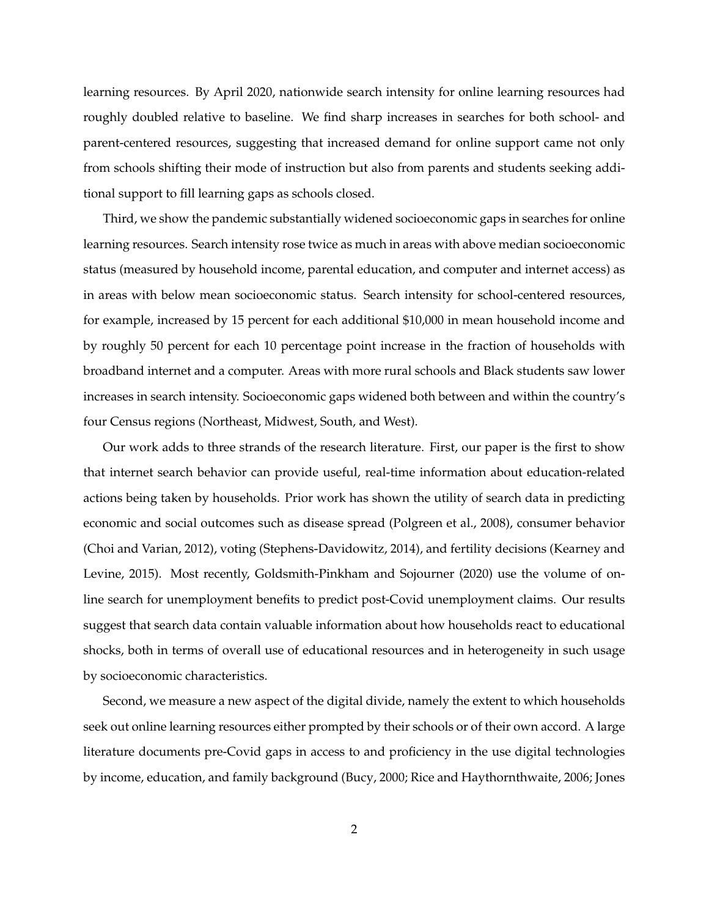learning resources. By April 2020, nationwide search intensity for online learning resources had roughly doubled relative to baseline. We find sharp increases in searches for both school- and parent-centered resources, suggesting that increased demand for online support came not only from schools shifting their mode of instruction but also from parents and students seeking additional support to fill learning gaps as schools closed.

Third, we show the pandemic substantially widened socioeconomic gaps in searches for online learning resources. Search intensity rose twice as much in areas with above median socioeconomic status (measured by household income, parental education, and computer and internet access) as in areas with below mean socioeconomic status. Search intensity for school-centered resources, for example, increased by 15 percent for each additional \$10,000 in mean household income and by roughly 50 percent for each 10 percentage point increase in the fraction of households with broadband internet and a computer. Areas with more rural schools and Black students saw lower increases in search intensity. Socioeconomic gaps widened both between and within the country's four Census regions (Northeast, Midwest, South, and West).

Our work adds to three strands of the research literature. First, our paper is the first to show that internet search behavior can provide useful, real-time information about education-related actions being taken by households. Prior work has shown the utility of search data in predicting economic and social outcomes such as disease spread [\(Polgreen et al.,](#page-15-3) [2008\)](#page-15-3), consumer behavior [\(Choi and Varian,](#page-14-2) [2012\)](#page-14-2), voting [\(Stephens-Davidowitz,](#page-15-4) [2014\)](#page-15-4), and fertility decisions [\(Kearney and](#page-14-3) [Levine,](#page-14-3) [2015\)](#page-14-3). Most recently, [Goldsmith-Pinkham and Sojourner](#page-14-4) [\(2020\)](#page-14-4) use the volume of online search for unemployment benefits to predict post-Covid unemployment claims. Our results suggest that search data contain valuable information about how households react to educational shocks, both in terms of overall use of educational resources and in heterogeneity in such usage by socioeconomic characteristics.

Second, we measure a new aspect of the digital divide, namely the extent to which households seek out online learning resources either prompted by their schools or of their own accord. A large literature documents pre-Covid gaps in access to and proficiency in the use digital technologies by income, education, and family background [\(Bucy,](#page-14-5) [2000;](#page-14-5) [Rice and Haythornthwaite,](#page-15-5) [2006;](#page-15-5) [Jones](#page-14-6)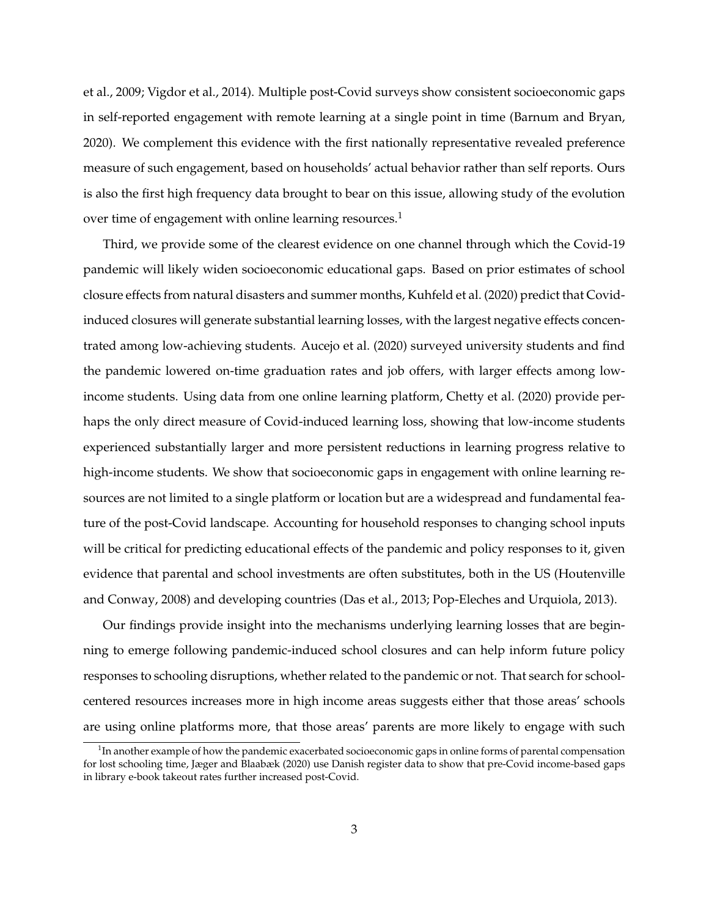[et al.,](#page-14-6) [2009;](#page-14-6) [Vigdor et al.,](#page-15-6) [2014\)](#page-15-6). Multiple post-Covid surveys show consistent socioeconomic gaps in self-reported engagement with remote learning at a single point in time [\(Barnum and Bryan,](#page-14-7) [2020\)](#page-14-7). We complement this evidence with the first nationally representative revealed preference measure of such engagement, based on households' actual behavior rather than self reports. Ours is also the first high frequency data brought to bear on this issue, allowing study of the evolution over time of engagement with online learning resources.<sup>[1](#page-4-0)</sup>

Third, we provide some of the clearest evidence on one channel through which the Covid-19 pandemic will likely widen socioeconomic educational gaps. Based on prior estimates of school closure effects from natural disasters and summer months, [Kuhfeld et al.](#page-14-8) [\(2020\)](#page-14-8) predict that Covidinduced closures will generate substantial learning losses, with the largest negative effects concentrated among low-achieving students. [Aucejo et al.](#page-14-9) [\(2020\)](#page-14-9) surveyed university students and find the pandemic lowered on-time graduation rates and job offers, with larger effects among lowincome students. Using data from one online learning platform, [Chetty et al.](#page-14-10) [\(2020\)](#page-14-10) provide perhaps the only direct measure of Covid-induced learning loss, showing that low-income students experienced substantially larger and more persistent reductions in learning progress relative to high-income students. We show that socioeconomic gaps in engagement with online learning resources are not limited to a single platform or location but are a widespread and fundamental feature of the post-Covid landscape. Accounting for household responses to changing school inputs will be critical for predicting educational effects of the pandemic and policy responses to it, given evidence that parental and school investments are often substitutes, both in the US [\(Houtenville](#page-14-11) [and Conway,](#page-14-11) [2008\)](#page-14-11) and developing countries [\(Das et al.,](#page-14-12) [2013;](#page-14-12) [Pop-Eleches and Urquiola,](#page-15-7) [2013\)](#page-15-7).

Our findings provide insight into the mechanisms underlying learning losses that are beginning to emerge following pandemic-induced school closures and can help inform future policy responses to schooling disruptions, whether related to the pandemic or not. That search for schoolcentered resources increases more in high income areas suggests either that those areas' schools are using online platforms more, that those areas' parents are more likely to engage with such

<span id="page-4-0"></span> $1$ In another example of how the pandemic exacerbated socioeconomic gaps in online forms of parental compensation for lost schooling time, [Jæger and Blaabæk](#page-14-13) [\(2020\)](#page-14-13) use Danish register data to show that pre-Covid income-based gaps in library e-book takeout rates further increased post-Covid.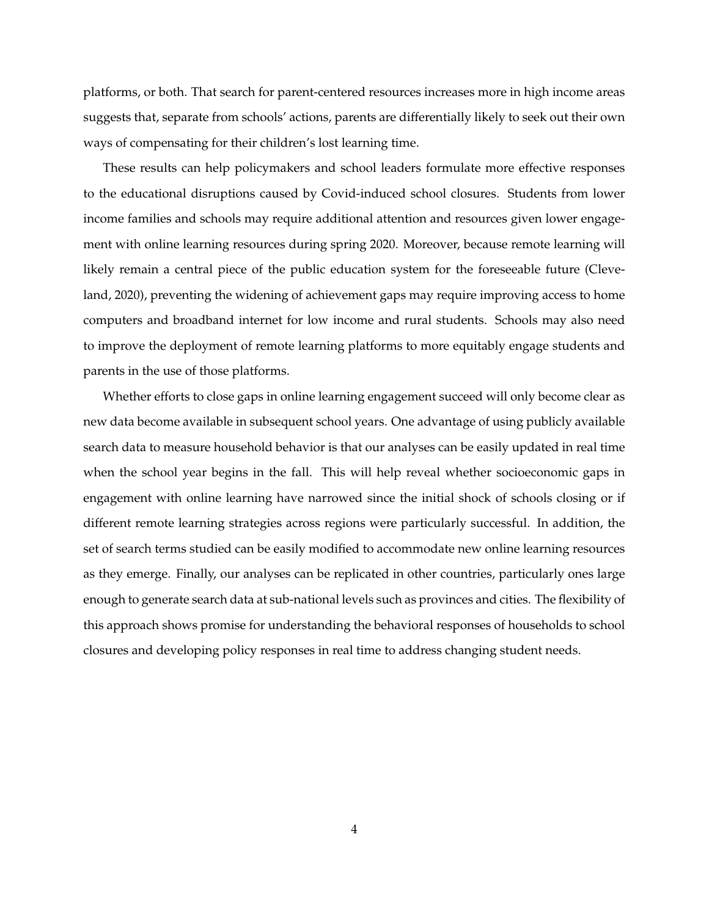platforms, or both. That search for parent-centered resources increases more in high income areas suggests that, separate from schools' actions, parents are differentially likely to seek out their own ways of compensating for their children's lost learning time.

These results can help policymakers and school leaders formulate more effective responses to the educational disruptions caused by Covid-induced school closures. Students from lower income families and schools may require additional attention and resources given lower engagement with online learning resources during spring 2020. Moreover, because remote learning will likely remain a central piece of the public education system for the foreseeable future [\(Cleve](#page-14-14)[land,](#page-14-14) [2020\)](#page-14-14), preventing the widening of achievement gaps may require improving access to home computers and broadband internet for low income and rural students. Schools may also need to improve the deployment of remote learning platforms to more equitably engage students and parents in the use of those platforms.

Whether efforts to close gaps in online learning engagement succeed will only become clear as new data become available in subsequent school years. One advantage of using publicly available search data to measure household behavior is that our analyses can be easily updated in real time when the school year begins in the fall. This will help reveal whether socioeconomic gaps in engagement with online learning have narrowed since the initial shock of schools closing or if different remote learning strategies across regions were particularly successful. In addition, the set of search terms studied can be easily modified to accommodate new online learning resources as they emerge. Finally, our analyses can be replicated in other countries, particularly ones large enough to generate search data at sub-national levels such as provinces and cities. The flexibility of this approach shows promise for understanding the behavioral responses of households to school closures and developing policy responses in real time to address changing student needs.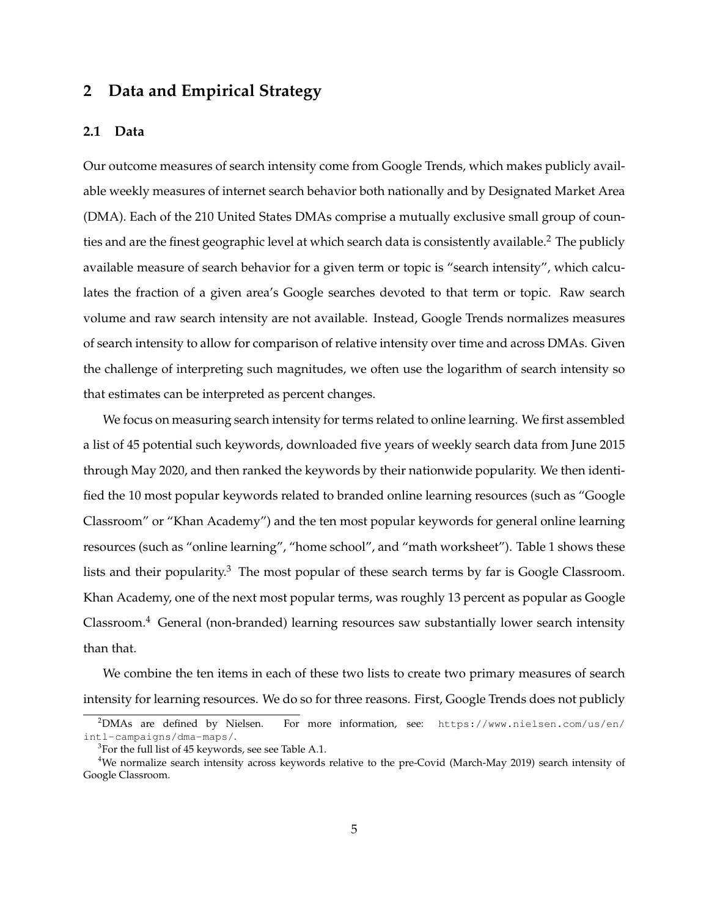## **2 Data and Empirical Strategy**

#### **2.1 Data**

Our outcome measures of search intensity come from Google Trends, which makes publicly available weekly measures of internet search behavior both nationally and by Designated Market Area (DMA). Each of the 210 United States DMAs comprise a mutually exclusive small group of coun-ties and are the finest geographic level at which search data is consistently available.<sup>[2](#page-6-0)</sup> The publicly available measure of search behavior for a given term or topic is "search intensity", which calculates the fraction of a given area's Google searches devoted to that term or topic. Raw search volume and raw search intensity are not available. Instead, Google Trends normalizes measures of search intensity to allow for comparison of relative intensity over time and across DMAs. Given the challenge of interpreting such magnitudes, we often use the logarithm of search intensity so that estimates can be interpreted as percent changes.

We focus on measuring search intensity for terms related to online learning. We first assembled a list of 45 potential such keywords, downloaded five years of weekly search data from June 2015 through May 2020, and then ranked the keywords by their nationwide popularity. We then identified the 10 most popular keywords related to branded online learning resources (such as "Google Classroom" or "Khan Academy") and the ten most popular keywords for general online learning resources (such as "online learning", "home school", and "math worksheet"). Table [1](#page-19-0) shows these lists and their popularity. $3$  The most popular of these search terms by far is Google Classroom. Khan Academy, one of the next most popular terms, was roughly 13 percent as popular as Google  $Clasroom.<sup>4</sup>$  $Clasroom.<sup>4</sup>$  $Clasroom.<sup>4</sup>$  General (non-branded) learning resources saw substantially lower search intensity than that.

We combine the ten items in each of these two lists to create two primary measures of search intensity for learning resources. We do so for three reasons. First, Google Trends does not publicly

<span id="page-6-0"></span><sup>2</sup>DMAs are defined by Nielsen. For more information, see: [https://www.nielsen.com/us/en/](https://www.nielsen.com/us/en/intl-campaigns/dma-maps/) [intl-campaigns/dma-maps/](https://www.nielsen.com/us/en/intl-campaigns/dma-maps/).

<span id="page-6-2"></span><span id="page-6-1"></span> $3$ For the full list of 45 keywords, see see Table [A.1.](#page-23-0)

<sup>4</sup>We normalize search intensity across keywords relative to the pre-Covid (March-May 2019) search intensity of Google Classroom.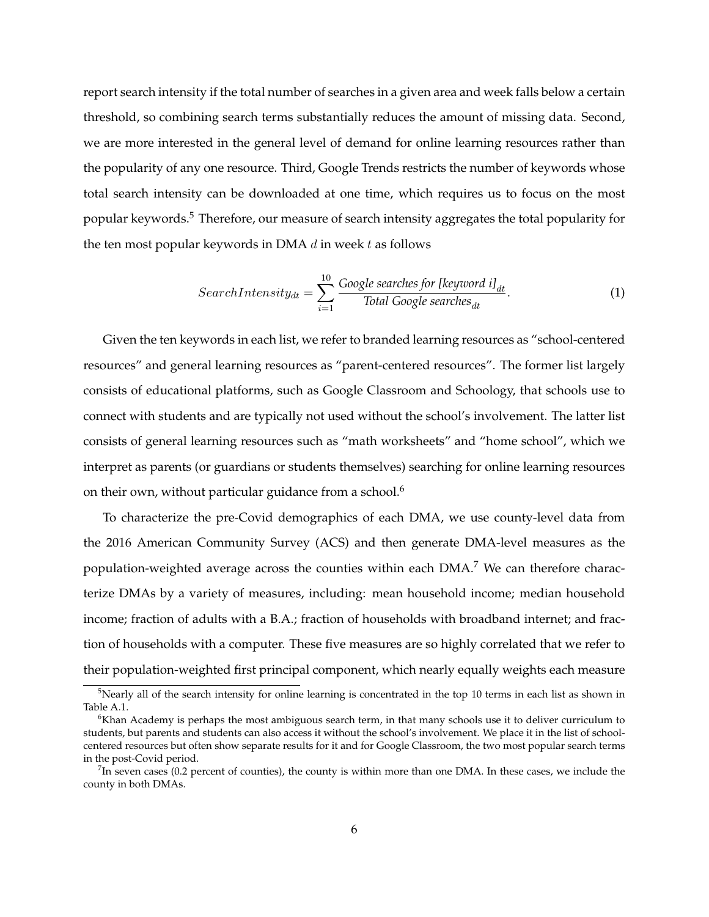report search intensity if the total number of searches in a given area and week falls below a certain threshold, so combining search terms substantially reduces the amount of missing data. Second, we are more interested in the general level of demand for online learning resources rather than the popularity of any one resource. Third, Google Trends restricts the number of keywords whose total search intensity can be downloaded at one time, which requires us to focus on the most popular keywords.<sup>[5](#page-7-0)</sup> Therefore, our measure of search intensity aggregates the total popularity for the ten most popular keywords in DMA  $d$  in week  $t$  as follows

$$
SearchIntensity_{dt} = \sum_{i=1}^{10} \frac{Google\ searches\ for\ [ keyword\ il_{dt}]}{Total\ Google\ searches_{dt}}.
$$
 (1)

Given the ten keywords in each list, we refer to branded learning resources as "school-centered resources" and general learning resources as "parent-centered resources". The former list largely consists of educational platforms, such as Google Classroom and Schoology, that schools use to connect with students and are typically not used without the school's involvement. The latter list consists of general learning resources such as "math worksheets" and "home school", which we interpret as parents (or guardians or students themselves) searching for online learning resources on their own, without particular guidance from a school.<sup>[6](#page-7-1)</sup>

To characterize the pre-Covid demographics of each DMA, we use county-level data from the 2016 American Community Survey (ACS) and then generate DMA-level measures as the population-weighted average across the counties within each DMA.<sup>[7](#page-7-2)</sup> We can therefore characterize DMAs by a variety of measures, including: mean household income; median household income; fraction of adults with a B.A.; fraction of households with broadband internet; and fraction of households with a computer. These five measures are so highly correlated that we refer to their population-weighted first principal component, which nearly equally weights each measure

<span id="page-7-0"></span> $5$ Nearly all of the search intensity for online learning is concentrated in the top 10 terms in each list as shown in Table [A.1.](#page-23-0)

<span id="page-7-1"></span> $6K$ han Academy is perhaps the most ambiguous search term, in that many schools use it to deliver curriculum to students, but parents and students can also access it without the school's involvement. We place it in the list of schoolcentered resources but often show separate results for it and for Google Classroom, the two most popular search terms in the post-Covid period.

<span id="page-7-2"></span> $^7$ In seven cases (0.2 percent of counties), the county is within more than one DMA. In these cases, we include the county in both DMAs.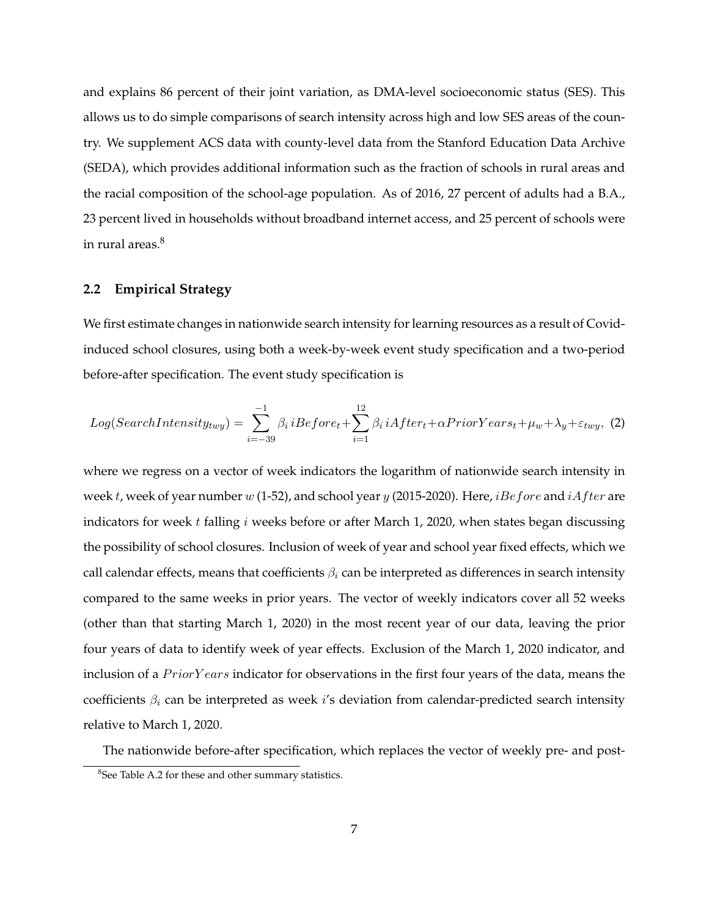and explains 86 percent of their joint variation, as DMA-level socioeconomic status (SES). This allows us to do simple comparisons of search intensity across high and low SES areas of the country. We supplement ACS data with county-level data from the Stanford Education Data Archive (SEDA), which provides additional information such as the fraction of schools in rural areas and the racial composition of the school-age population. As of 2016, 27 percent of adults had a B.A., 23 percent lived in households without broadband internet access, and 25 percent of schools were in rural areas.<sup>[8](#page-8-0)</sup>

#### **2.2 Empirical Strategy**

We first estimate changes in nationwide search intensity for learning resources as a result of Covidinduced school closures, using both a week-by-week event study specification and a two-period before-after specification. The event study specification is

<span id="page-8-1"></span>
$$
Log(SearchIntensity_{twy}) = \sum_{i=-39}^{-1} \beta_i iBefore_t + \sum_{i=1}^{12} \beta_i iAfter_t + \alpha Prior Years_t + \mu_w + \lambda_y + \varepsilon_{twy}, \tag{2}
$$

where we regress on a vector of week indicators the logarithm of nationwide search intensity in week t, week of year number w (1-52), and school year y (2015-2020). Here, *iBefore* and *iAfter* are indicators for week  $t$  falling  $i$  weeks before or after March 1, 2020, when states began discussing the possibility of school closures. Inclusion of week of year and school year fixed effects, which we call calendar effects, means that coefficients  $\beta_i$  can be interpreted as differences in search intensity compared to the same weeks in prior years. The vector of weekly indicators cover all 52 weeks (other than that starting March 1, 2020) in the most recent year of our data, leaving the prior four years of data to identify week of year effects. Exclusion of the March 1, 2020 indicator, and inclusion of a  $Prior Years$  indicator for observations in the first four years of the data, means the coefficients  $\beta_i$  can be interpreted as week i's deviation from calendar-predicted search intensity relative to March 1, 2020.

The nationwide before-after specification, which replaces the vector of weekly pre- and post-

<span id="page-8-0"></span><sup>&</sup>lt;sup>8</sup>See Table [A.2](#page-24-0) for these and other summary statistics.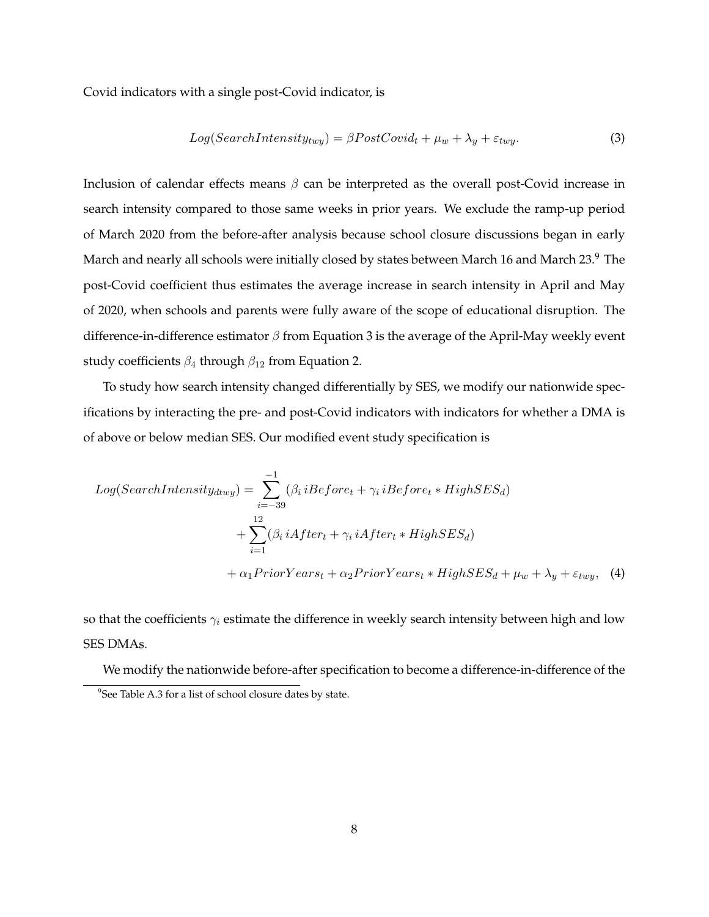Covid indicators with a single post-Covid indicator, is

<span id="page-9-1"></span>
$$
Log(SearchIntensity_{twy}) = \beta PostCovid_t + \mu_w + \lambda_y + \varepsilon_{twy}.
$$
\n(3)

Inclusion of calendar effects means  $\beta$  can be interpreted as the overall post-Covid increase in search intensity compared to those same weeks in prior years. We exclude the ramp-up period of March 2020 from the before-after analysis because school closure discussions began in early March and nearly all schools were initially closed by states between March 16 and March 23.<sup>[9](#page-9-0)</sup> The post-Covid coefficient thus estimates the average increase in search intensity in April and May of 2020, when schools and parents were fully aware of the scope of educational disruption. The difference-in-difference estimator  $\beta$  from Equation [3](#page-9-1) is the average of the April-May weekly event study coefficients  $\beta_4$  through  $\beta_{12}$  from Equation [2.](#page-8-1)

To study how search intensity changed differentially by SES, we modify our nationwide specifications by interacting the pre- and post-Covid indicators with indicators for whether a DMA is of above or below median SES. Our modified event study specification is

<span id="page-9-2"></span>
$$
Log(SearchIntensity_{dtwy}) = \sum_{i=-39}^{-1} (\beta_i iBefore_t + \gamma_i iBefore_t * High SES_d)
$$
  
+ 
$$
\sum_{i=1}^{12} (\beta_i iAfter_t + \gamma_i iAfter_t * High SES_d)
$$
  
+ 
$$
\alpha_1 PriorYears_t + \alpha_2 PriorYears_t * High SES_d + \mu_w + \lambda_y + \varepsilon_{twy},
$$
 (4)

so that the coefficients  $\gamma_i$  estimate the difference in weekly search intensity between high and low SES DMAs.

<span id="page-9-0"></span>We modify the nationwide before-after specification to become a difference-in-difference of the <sup>9</sup>See Table [A.3](#page-25-0) for a list of school closure dates by state.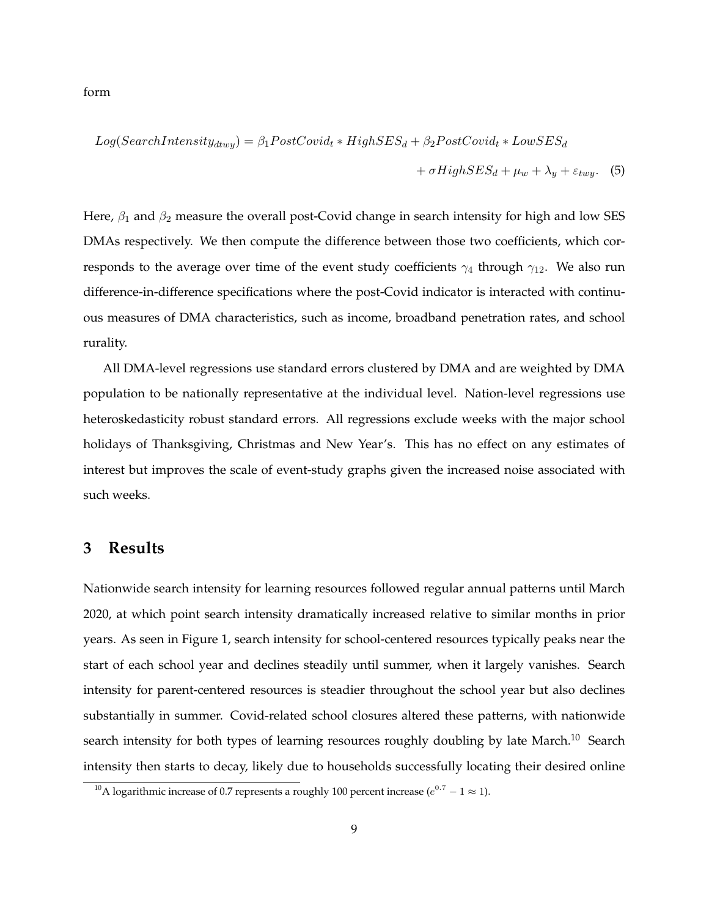form

<span id="page-10-1"></span>
$$
Log(SearchIntensity_{dtwy}) = \beta_1 PostCovid_t * High SES_d + \beta_2 PostCovid_t * LowSES_d
$$
  
+  $\sigma High SES_d + \mu_w + \lambda_y + \varepsilon_{twy}$ . (5)

Here,  $\beta_1$  and  $\beta_2$  measure the overall post-Covid change in search intensity for high and low SES DMAs respectively. We then compute the difference between those two coefficients, which corresponds to the average over time of the event study coefficients  $\gamma_4$  through  $\gamma_{12}$ . We also run difference-in-difference specifications where the post-Covid indicator is interacted with continuous measures of DMA characteristics, such as income, broadband penetration rates, and school rurality.

All DMA-level regressions use standard errors clustered by DMA and are weighted by DMA population to be nationally representative at the individual level. Nation-level regressions use heteroskedasticity robust standard errors. All regressions exclude weeks with the major school holidays of Thanksgiving, Christmas and New Year's. This has no effect on any estimates of interest but improves the scale of event-study graphs given the increased noise associated with such weeks.

#### **3 Results**

Nationwide search intensity for learning resources followed regular annual patterns until March 2020, at which point search intensity dramatically increased relative to similar months in prior years. As seen in Figure [1,](#page-16-0) search intensity for school-centered resources typically peaks near the start of each school year and declines steadily until summer, when it largely vanishes. Search intensity for parent-centered resources is steadier throughout the school year but also declines substantially in summer. Covid-related school closures altered these patterns, with nationwide search intensity for both types of learning resources roughly doubling by late March.<sup>[10](#page-10-0)</sup> Search intensity then starts to decay, likely due to households successfully locating their desired online

<span id="page-10-0"></span><sup>&</sup>lt;sup>10</sup>A logarithmic increase of 0.7 represents a roughly 100 percent increase ( $e^{0.7} - 1 \approx 1$ ).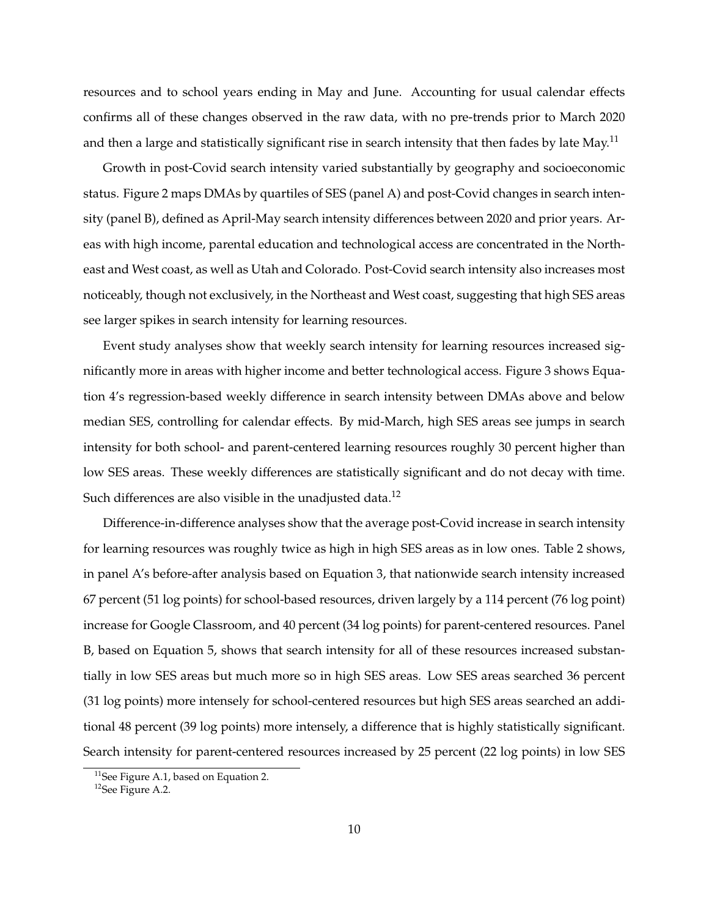resources and to school years ending in May and June. Accounting for usual calendar effects confirms all of these changes observed in the raw data, with no pre-trends prior to March 2020 and then a large and statistically significant rise in search intensity that then fades by late May.<sup>[11](#page-11-0)</sup>

Growth in post-Covid search intensity varied substantially by geography and socioeconomic status. Figure [2](#page-17-0) maps DMAs by quartiles of SES (panel A) and post-Covid changes in search intensity (panel B), defined as April-May search intensity differences between 2020 and prior years. Areas with high income, parental education and technological access are concentrated in the Northeast and West coast, as well as Utah and Colorado. Post-Covid search intensity also increases most noticeably, though not exclusively, in the Northeast and West coast, suggesting that high SES areas see larger spikes in search intensity for learning resources.

Event study analyses show that weekly search intensity for learning resources increased significantly more in areas with higher income and better technological access. Figure [3](#page-18-0) shows Equation [4'](#page-9-2)s regression-based weekly difference in search intensity between DMAs above and below median SES, controlling for calendar effects. By mid-March, high SES areas see jumps in search intensity for both school- and parent-centered learning resources roughly 30 percent higher than low SES areas. These weekly differences are statistically significant and do not decay with time. Such differences are also visible in the unadjusted data.<sup>[12](#page-11-1)</sup>

Difference-in-difference analyses show that the average post-Covid increase in search intensity for learning resources was roughly twice as high in high SES areas as in low ones. Table [2](#page-20-0) shows, in panel A's before-after analysis based on Equation [3,](#page-9-1) that nationwide search intensity increased 67 percent (51 log points) for school-based resources, driven largely by a 114 percent (76 log point) increase for Google Classroom, and 40 percent (34 log points) for parent-centered resources. Panel B, based on Equation [5,](#page-10-1) shows that search intensity for all of these resources increased substantially in low SES areas but much more so in high SES areas. Low SES areas searched 36 percent (31 log points) more intensely for school-centered resources but high SES areas searched an additional 48 percent (39 log points) more intensely, a difference that is highly statistically significant. Search intensity for parent-centered resources increased by 25 percent (22 log points) in low SES

<span id="page-11-0"></span><sup>&</sup>lt;sup>11</sup>See Figure [A.1,](#page-21-0) based on Equation [2.](#page-8-1)

<span id="page-11-1"></span><sup>12</sup>See Figure [A.2.](#page-22-0)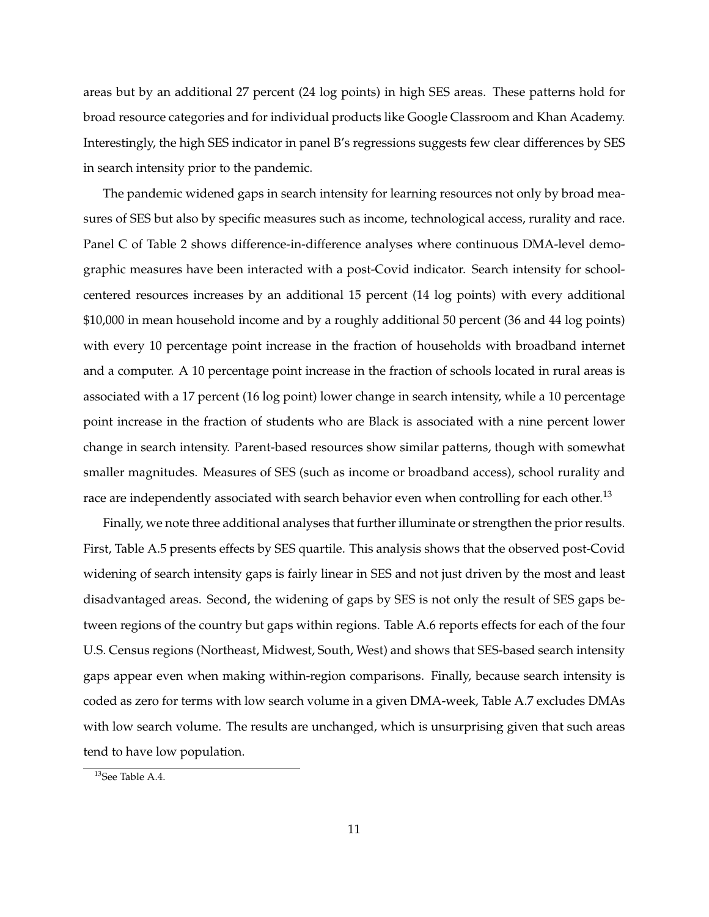areas but by an additional 27 percent (24 log points) in high SES areas. These patterns hold for broad resource categories and for individual products like Google Classroom and Khan Academy. Interestingly, the high SES indicator in panel B's regressions suggests few clear differences by SES in search intensity prior to the pandemic.

The pandemic widened gaps in search intensity for learning resources not only by broad measures of SES but also by specific measures such as income, technological access, rurality and race. Panel C of Table [2](#page-20-0) shows difference-in-difference analyses where continuous DMA-level demographic measures have been interacted with a post-Covid indicator. Search intensity for schoolcentered resources increases by an additional 15 percent (14 log points) with every additional \$10,000 in mean household income and by a roughly additional 50 percent (36 and 44 log points) with every 10 percentage point increase in the fraction of households with broadband internet and a computer. A 10 percentage point increase in the fraction of schools located in rural areas is associated with a 17 percent (16 log point) lower change in search intensity, while a 10 percentage point increase in the fraction of students who are Black is associated with a nine percent lower change in search intensity. Parent-based resources show similar patterns, though with somewhat smaller magnitudes. Measures of SES (such as income or broadband access), school rurality and race are independently associated with search behavior even when controlling for each other.<sup>[13](#page-12-0)</sup>

Finally, we note three additional analyses that further illuminate or strengthen the prior results. First, Table [A.5](#page-27-0) presents effects by SES quartile. This analysis shows that the observed post-Covid widening of search intensity gaps is fairly linear in SES and not just driven by the most and least disadvantaged areas. Second, the widening of gaps by SES is not only the result of SES gaps between regions of the country but gaps within regions. Table [A.6](#page-28-0) reports effects for each of the four U.S. Census regions (Northeast, Midwest, South, West) and shows that SES-based search intensity gaps appear even when making within-region comparisons. Finally, because search intensity is coded as zero for terms with low search volume in a given DMA-week, Table [A.7](#page-29-0) excludes DMAs with low search volume. The results are unchanged, which is unsurprising given that such areas tend to have low population.

<span id="page-12-0"></span><sup>13</sup>See Table [A.4.](#page-26-0)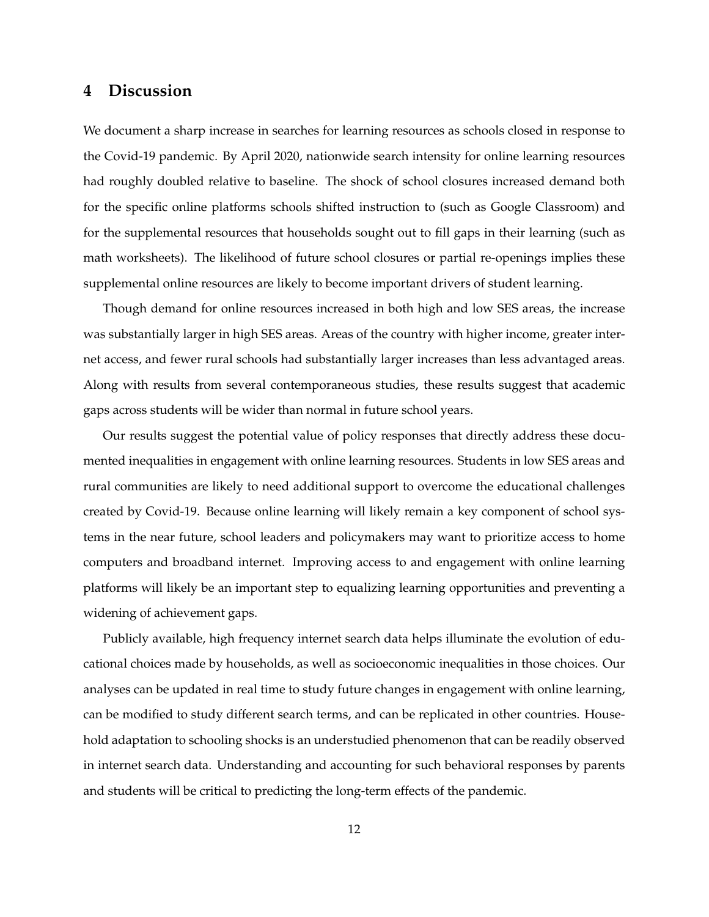### **4 Discussion**

We document a sharp increase in searches for learning resources as schools closed in response to the Covid-19 pandemic. By April 2020, nationwide search intensity for online learning resources had roughly doubled relative to baseline. The shock of school closures increased demand both for the specific online platforms schools shifted instruction to (such as Google Classroom) and for the supplemental resources that households sought out to fill gaps in their learning (such as math worksheets). The likelihood of future school closures or partial re-openings implies these supplemental online resources are likely to become important drivers of student learning.

Though demand for online resources increased in both high and low SES areas, the increase was substantially larger in high SES areas. Areas of the country with higher income, greater internet access, and fewer rural schools had substantially larger increases than less advantaged areas. Along with results from several contemporaneous studies, these results suggest that academic gaps across students will be wider than normal in future school years.

Our results suggest the potential value of policy responses that directly address these documented inequalities in engagement with online learning resources. Students in low SES areas and rural communities are likely to need additional support to overcome the educational challenges created by Covid-19. Because online learning will likely remain a key component of school systems in the near future, school leaders and policymakers may want to prioritize access to home computers and broadband internet. Improving access to and engagement with online learning platforms will likely be an important step to equalizing learning opportunities and preventing a widening of achievement gaps.

Publicly available, high frequency internet search data helps illuminate the evolution of educational choices made by households, as well as socioeconomic inequalities in those choices. Our analyses can be updated in real time to study future changes in engagement with online learning, can be modified to study different search terms, and can be replicated in other countries. Household adaptation to schooling shocks is an understudied phenomenon that can be readily observed in internet search data. Understanding and accounting for such behavioral responses by parents and students will be critical to predicting the long-term effects of the pandemic.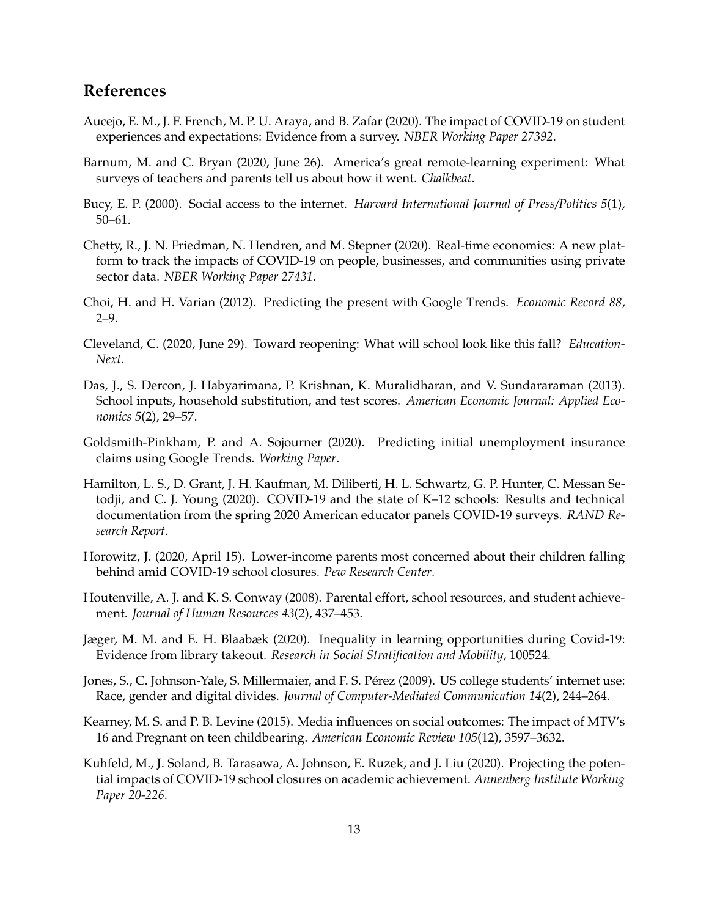## **References**

- <span id="page-14-9"></span>Aucejo, E. M., J. F. French, M. P. U. Araya, and B. Zafar (2020). The impact of COVID-19 on student experiences and expectations: Evidence from a survey. *NBER Working Paper 27392*.
- <span id="page-14-7"></span>Barnum, M. and C. Bryan (2020, June 26). America's great remote-learning experiment: What surveys of teachers and parents tell us about how it went. *Chalkbeat*.
- <span id="page-14-5"></span>Bucy, E. P. (2000). Social access to the internet. *Harvard International Journal of Press/Politics 5*(1), 50–61.
- <span id="page-14-10"></span>Chetty, R., J. N. Friedman, N. Hendren, and M. Stepner (2020). Real-time economics: A new platform to track the impacts of COVID-19 on people, businesses, and communities using private sector data. *NBER Working Paper 27431*.
- <span id="page-14-2"></span>Choi, H. and H. Varian (2012). Predicting the present with Google Trends. *Economic Record 88*, 2–9.
- <span id="page-14-14"></span>Cleveland, C. (2020, June 29). Toward reopening: What will school look like this fall? *Education-Next*.
- <span id="page-14-12"></span>Das, J., S. Dercon, J. Habyarimana, P. Krishnan, K. Muralidharan, and V. Sundararaman (2013). School inputs, household substitution, and test scores. *American Economic Journal: Applied Economics 5*(2), 29–57.
- <span id="page-14-4"></span>Goldsmith-Pinkham, P. and A. Sojourner (2020). Predicting initial unemployment insurance claims using Google Trends. *Working Paper*.
- <span id="page-14-0"></span>Hamilton, L. S., D. Grant, J. H. Kaufman, M. Diliberti, H. L. Schwartz, G. P. Hunter, C. Messan Setodji, and C. J. Young (2020). COVID-19 and the state of K–12 schools: Results and technical documentation from the spring 2020 American educator panels COVID-19 surveys. *RAND Research Report*.
- <span id="page-14-1"></span>Horowitz, J. (2020, April 15). Lower-income parents most concerned about their children falling behind amid COVID-19 school closures. *Pew Research Center*.
- <span id="page-14-11"></span>Houtenville, A. J. and K. S. Conway (2008). Parental effort, school resources, and student achievement. *Journal of Human Resources 43*(2), 437–453.
- <span id="page-14-13"></span>Jæger, M. M. and E. H. Blaabæk (2020). Inequality in learning opportunities during Covid-19: Evidence from library takeout. *Research in Social Stratification and Mobility*, 100524.
- <span id="page-14-6"></span>Jones, S., C. Johnson-Yale, S. Millermaier, and F. S. Pérez (2009). US college students' internet use: Race, gender and digital divides. *Journal of Computer-Mediated Communication 14*(2), 244–264.
- <span id="page-14-3"></span>Kearney, M. S. and P. B. Levine (2015). Media influences on social outcomes: The impact of MTV's 16 and Pregnant on teen childbearing. *American Economic Review 105*(12), 3597–3632.
- <span id="page-14-8"></span>Kuhfeld, M., J. Soland, B. Tarasawa, A. Johnson, E. Ruzek, and J. Liu (2020). Projecting the potential impacts of COVID-19 school closures on academic achievement. *Annenberg Institute Working Paper 20-226*.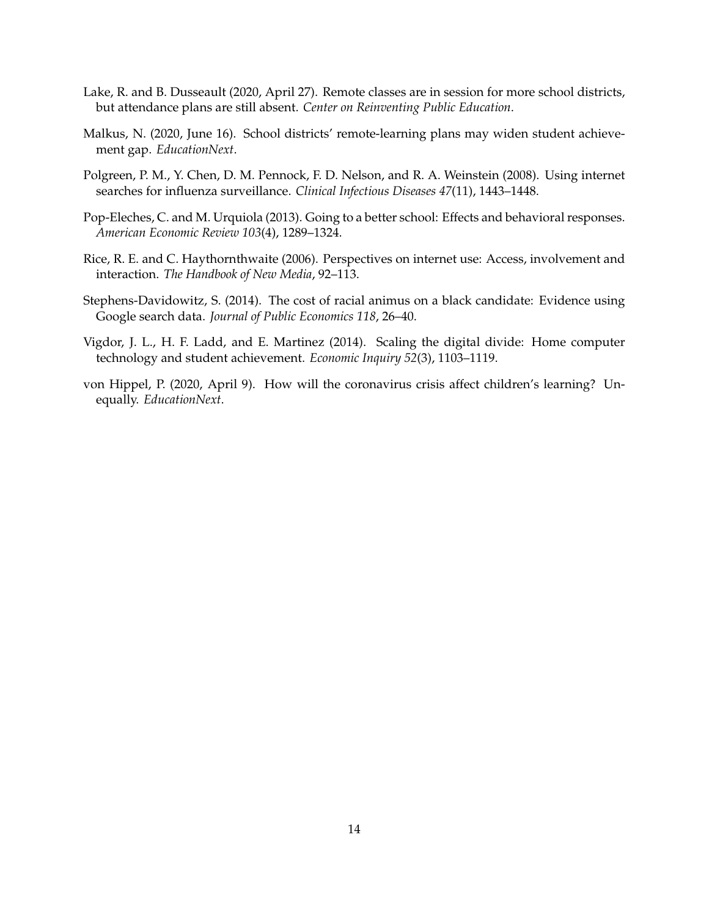- <span id="page-15-0"></span>Lake, R. and B. Dusseault (2020, April 27). Remote classes are in session for more school districts, but attendance plans are still absent. *Center on Reinventing Public Education*.
- <span id="page-15-1"></span>Malkus, N. (2020, June 16). School districts' remote-learning plans may widen student achievement gap. *EducationNext*.
- <span id="page-15-3"></span>Polgreen, P. M., Y. Chen, D. M. Pennock, F. D. Nelson, and R. A. Weinstein (2008). Using internet searches for influenza surveillance. *Clinical Infectious Diseases 47*(11), 1443–1448.
- <span id="page-15-7"></span>Pop-Eleches, C. and M. Urquiola (2013). Going to a better school: Effects and behavioral responses. *American Economic Review 103*(4), 1289–1324.
- <span id="page-15-5"></span>Rice, R. E. and C. Haythornthwaite (2006). Perspectives on internet use: Access, involvement and interaction. *The Handbook of New Media*, 92–113.
- <span id="page-15-4"></span>Stephens-Davidowitz, S. (2014). The cost of racial animus on a black candidate: Evidence using Google search data. *Journal of Public Economics 118*, 26–40.
- <span id="page-15-6"></span>Vigdor, J. L., H. F. Ladd, and E. Martinez (2014). Scaling the digital divide: Home computer technology and student achievement. *Economic Inquiry 52*(3), 1103–1119.
- <span id="page-15-2"></span>von Hippel, P. (2020, April 9). How will the coronavirus crisis affect children's learning? Unequally. *EducationNext*.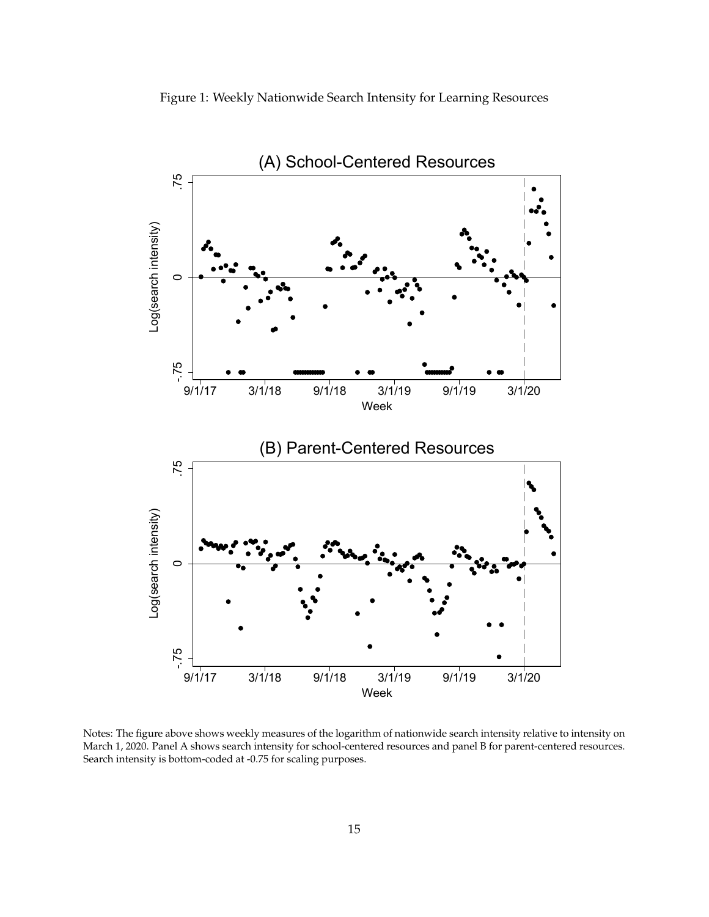<span id="page-16-0"></span>



Notes: The figure above shows weekly measures of the logarithm of nationwide search intensity relative to intensity on March 1, 2020. Panel A shows search intensity for school-centered resources and panel B for parent-centered resources. Search intensity is bottom-coded at -0.75 for scaling purposes.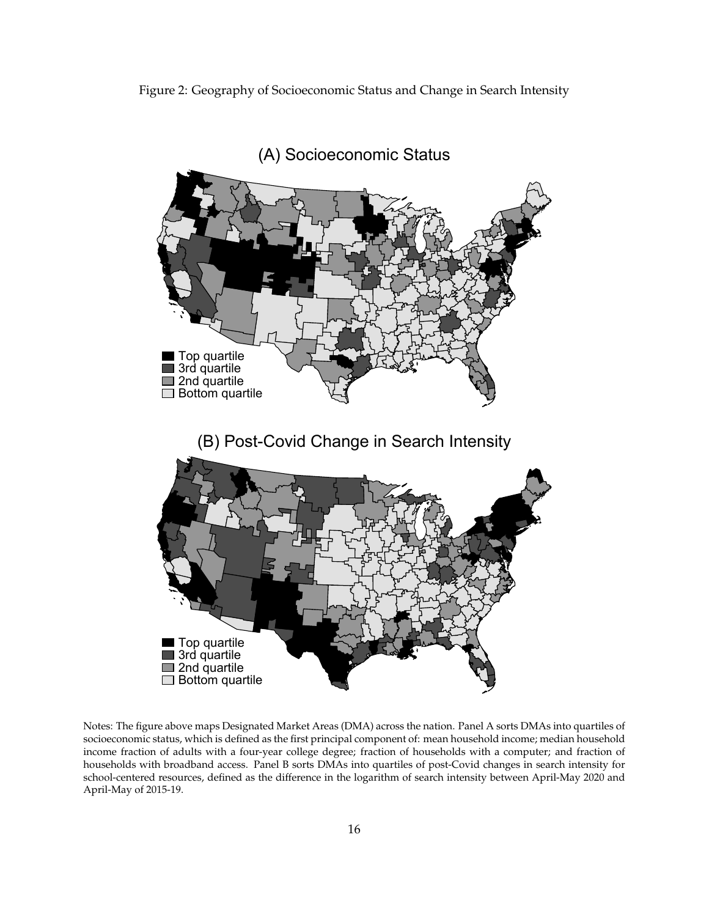<span id="page-17-0"></span>Figure 2: Geography of Socioeconomic Status and Change in Search Intensity



Notes: The figure above maps Designated Market Areas (DMA) across the nation. Panel A sorts DMAs into quartiles of socioeconomic status, which is defined as the first principal component of: mean household income; median household income fraction of adults with a four-year college degree; fraction of households with a computer; and fraction of households with broadband access. Panel B sorts DMAs into quartiles of post-Covid changes in search intensity for school-centered resources, defined as the difference in the logarithm of search intensity between April-May 2020 and April-May of 2015-19.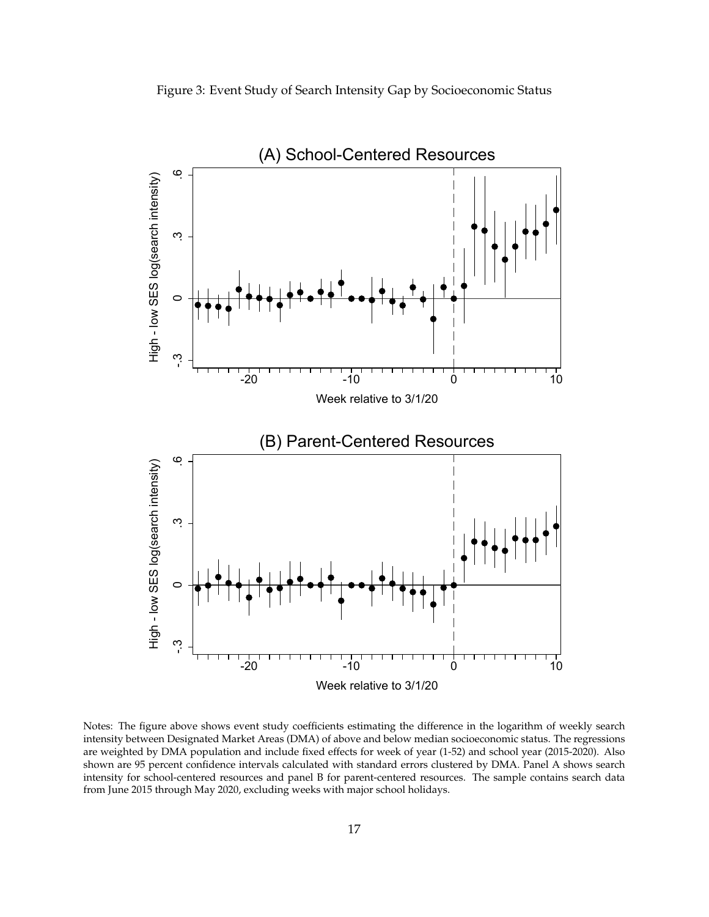<span id="page-18-0"></span>



Notes: The figure above shows event study coefficients estimating the difference in the logarithm of weekly search intensity between Designated Market Areas (DMA) of above and below median socioeconomic status. The regressions are weighted by DMA population and include fixed effects for week of year (1-52) and school year (2015-2020). Also shown are 95 percent confidence intervals calculated with standard errors clustered by DMA. Panel A shows search intensity for school-centered resources and panel B for parent-centered resources. The sample contains search data from June 2015 through May 2020, excluding weeks with major school holidays.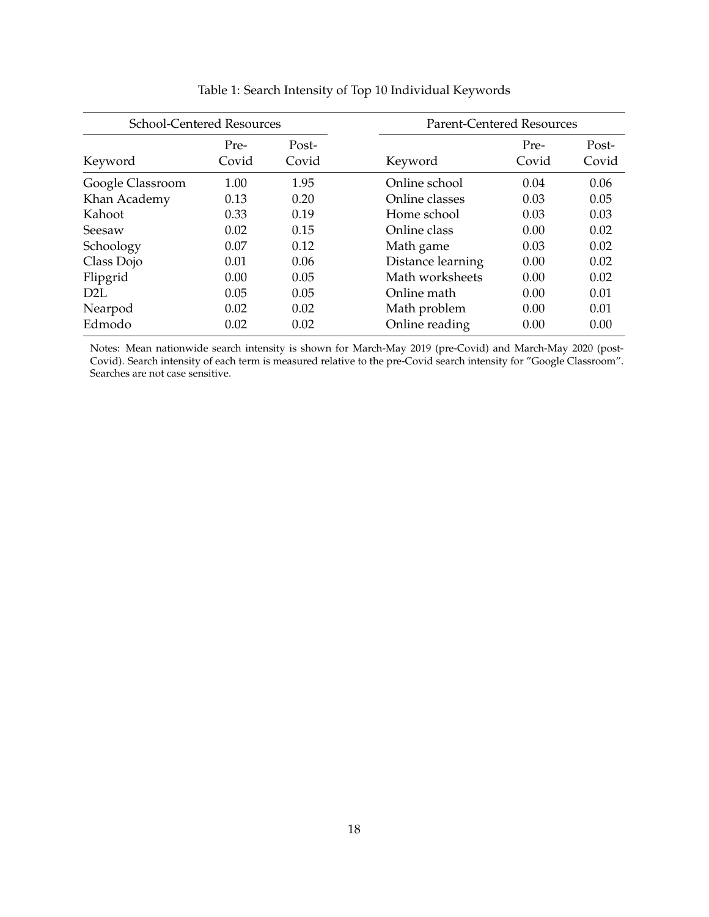<span id="page-19-0"></span>

| <b>School-Centered Resources</b> |               | <b>Parent-Centered Resources</b> |                   |               |                |
|----------------------------------|---------------|----------------------------------|-------------------|---------------|----------------|
| Keyword                          | Pre-<br>Covid | Post-<br>Covid                   | Keyword           | Pre-<br>Covid | Post-<br>Covid |
| Google Classroom                 | 1.00          | 1.95                             | Online school     | 0.04          | 0.06           |
| Khan Academy                     | 0.13          | 0.20                             | Online classes    | 0.03          | 0.05           |
| Kahoot                           | 0.33          | 0.19                             | Home school       | 0.03          | 0.03           |
| Seesaw                           | 0.02          | 0.15                             | Online class      | 0.00          | 0.02           |
| Schoology                        | 0.07          | 0.12                             | Math game         | 0.03          | 0.02           |
| Class Dojo                       | 0.01          | 0.06                             | Distance learning | 0.00          | 0.02           |
| Flipgrid                         | 0.00          | 0.05                             | Math worksheets   | 0.00          | 0.02           |
| D <sub>2L</sub>                  | 0.05          | 0.05                             | Online math       | 0.00          | 0.01           |
| Nearpod                          | 0.02          | 0.02                             | Math problem      | 0.00          | 0.01           |
| Edmodo                           | 0.02          | 0.02                             | Online reading    | 0.00          | 0.00           |

## Table 1: Search Intensity of Top 10 Individual Keywords

Notes: Mean nationwide search intensity is shown for March-May 2019 (pre-Covid) and March-May 2020 (post-Covid). Search intensity of each term is measured relative to the pre-Covid search intensity for "Google Classroom". Searches are not case sensitive.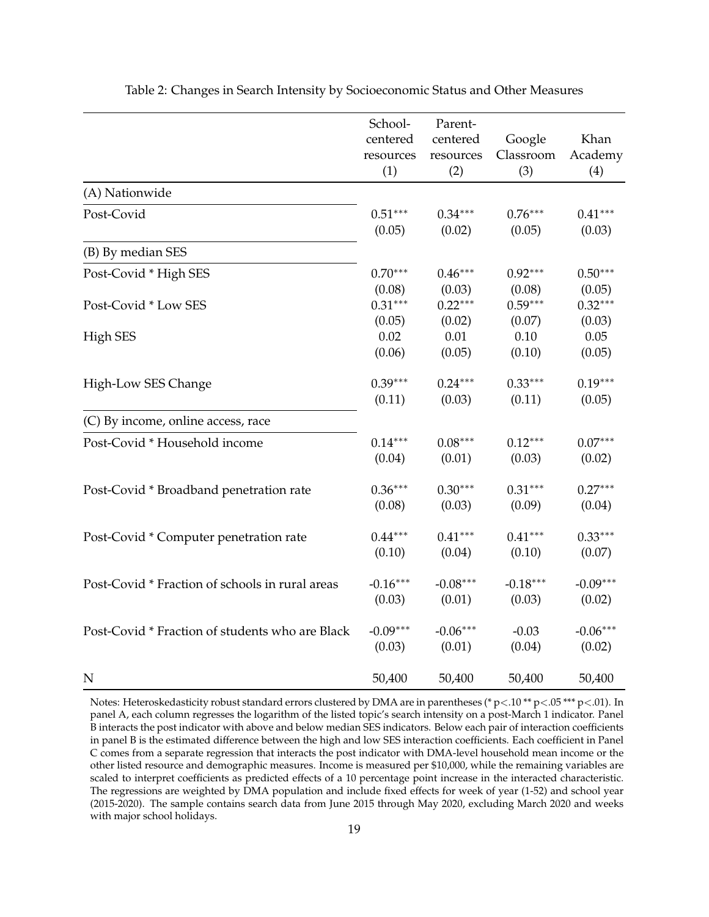<span id="page-20-0"></span>

|                                                 | School-    | Parent-    |            |            |
|-------------------------------------------------|------------|------------|------------|------------|
|                                                 | centered   | centered   | Google     | Khan       |
|                                                 | resources  | resources  | Classroom  | Academy    |
|                                                 | (1)        | (2)        | (3)        | (4)        |
| (A) Nationwide                                  |            |            |            |            |
| Post-Covid                                      | $0.51***$  | $0.34***$  | $0.76***$  | $0.41***$  |
|                                                 | (0.05)     | (0.02)     | (0.05)     | (0.03)     |
| (B) By median SES                               |            |            |            |            |
| Post-Covid * High SES                           | $0.70***$  | $0.46***$  | $0.92***$  | $0.50***$  |
|                                                 | (0.08)     | (0.03)     | (0.08)     | (0.05)     |
| Post-Covid * Low SES                            | $0.31***$  | $0.22***$  | $0.59***$  | $0.32***$  |
|                                                 | (0.05)     | (0.02)     | (0.07)     | (0.03)     |
| <b>High SES</b>                                 | 0.02       | 0.01       | 0.10       | 0.05       |
|                                                 | (0.06)     | (0.05)     | (0.10)     | (0.05)     |
| High-Low SES Change                             | $0.39***$  | $0.24***$  | $0.33***$  | $0.19***$  |
|                                                 | (0.11)     | (0.03)     | (0.11)     | (0.05)     |
| (C) By income, online access, race              |            |            |            |            |
| Post-Covid * Household income                   | $0.14***$  | $0.08***$  | $0.12***$  | $0.07***$  |
|                                                 | (0.04)     | (0.01)     | (0.03)     | (0.02)     |
| Post-Covid * Broadband penetration rate         | $0.36***$  | $0.30***$  | $0.31***$  | $0.27***$  |
|                                                 | (0.08)     | (0.03)     | (0.09)     | (0.04)     |
| Post-Covid * Computer penetration rate          | $0.44***$  | $0.41***$  | $0.41***$  | $0.33***$  |
|                                                 | (0.10)     | (0.04)     | (0.10)     | (0.07)     |
| Post-Covid * Fraction of schools in rural areas | $-0.16***$ | $-0.08***$ | $-0.18***$ | $-0.09***$ |
|                                                 | (0.03)     | (0.01)     | (0.03)     | (0.02)     |
| Post-Covid * Fraction of students who are Black | $-0.09***$ | $-0.06***$ | $-0.03$    | $-0.06***$ |
|                                                 | (0.03)     | (0.01)     | (0.04)     | (0.02)     |
| N                                               | 50,400     | 50,400     | 50,400     | 50,400     |

Table 2: Changes in Search Intensity by Socioeconomic Status and Other Measures

Notes: Heteroskedasticity robust standard errors clustered by DMA are in parentheses (\* p<.10 \*\* p<.05 \*\*\* p<.01). In panel A, each column regresses the logarithm of the listed topic's search intensity on a post-March 1 indicator. Panel B interacts the post indicator with above and below median SES indicators. Below each pair of interaction coefficients in panel B is the estimated difference between the high and low SES interaction coefficients. Each coefficient in Panel C comes from a separate regression that interacts the post indicator with DMA-level household mean income or the other listed resource and demographic measures. Income is measured per \$10,000, while the remaining variables are scaled to interpret coefficients as predicted effects of a 10 percentage point increase in the interacted characteristic. The regressions are weighted by DMA population and include fixed effects for week of year (1-52) and school year (2015-2020). The sample contains search data from June 2015 through May 2020, excluding March 2020 and weeks with major school holidays.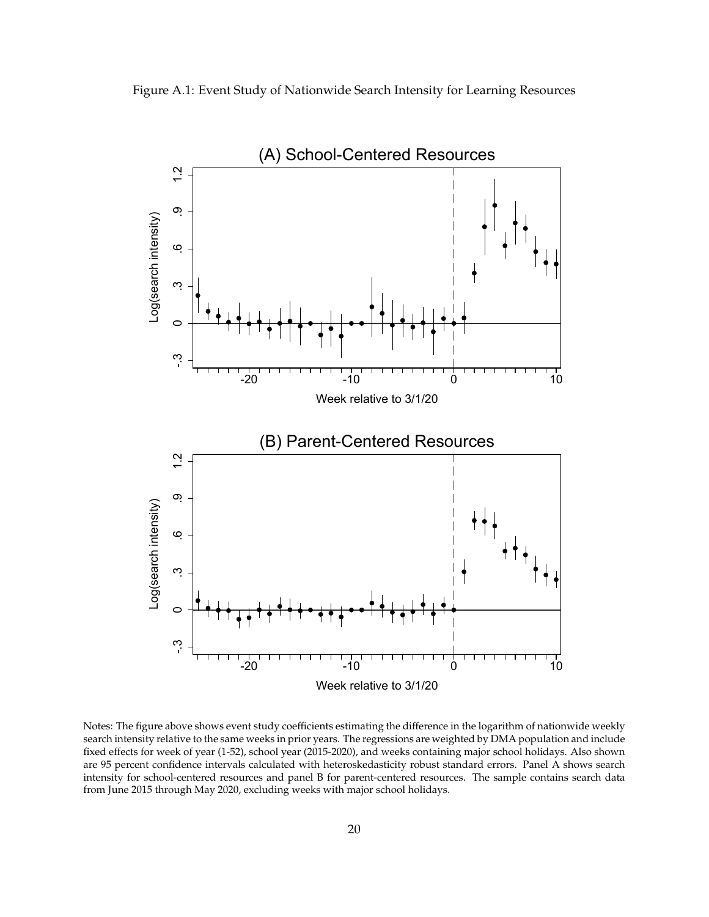<span id="page-21-0"></span>Figure A.1: Event Study of Nationwide Search Intensity for Learning Resources



Notes: The figure above shows event study coefficients estimating the difference in the logarithm of nationwide weekly search intensity relative to the same weeks in prior years. The regressions are weighted by DMA population and include fixed effects for week of year (1-52), school year (2015-2020), and weeks containing major school holidays. Also shown are 95 percent confidence intervals calculated with heteroskedasticity robust standard errors. Panel A shows search intensity for school-centered resources and panel B for parent-centered resources. The sample contains search data from June 2015 through May 2020, excluding weeks with major school holidays.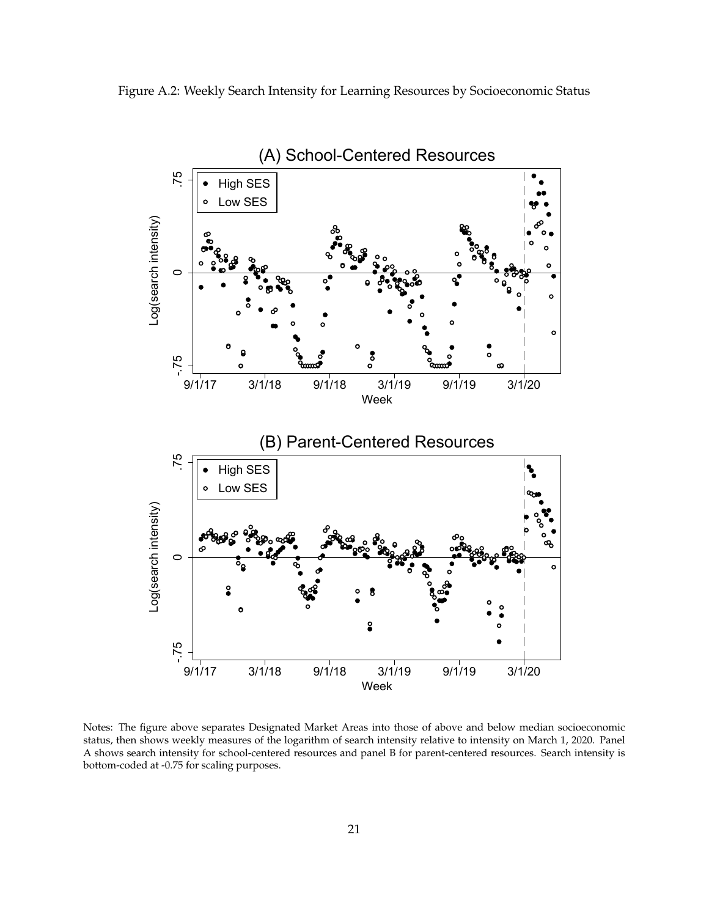<span id="page-22-0"></span>



Notes: The figure above separates Designated Market Areas into those of above and below median socioeconomic status, then shows weekly measures of the logarithm of search intensity relative to intensity on March 1, 2020. Panel A shows search intensity for school-centered resources and panel B for parent-centered resources. Search intensity is bottom-coded at -0.75 for scaling purposes.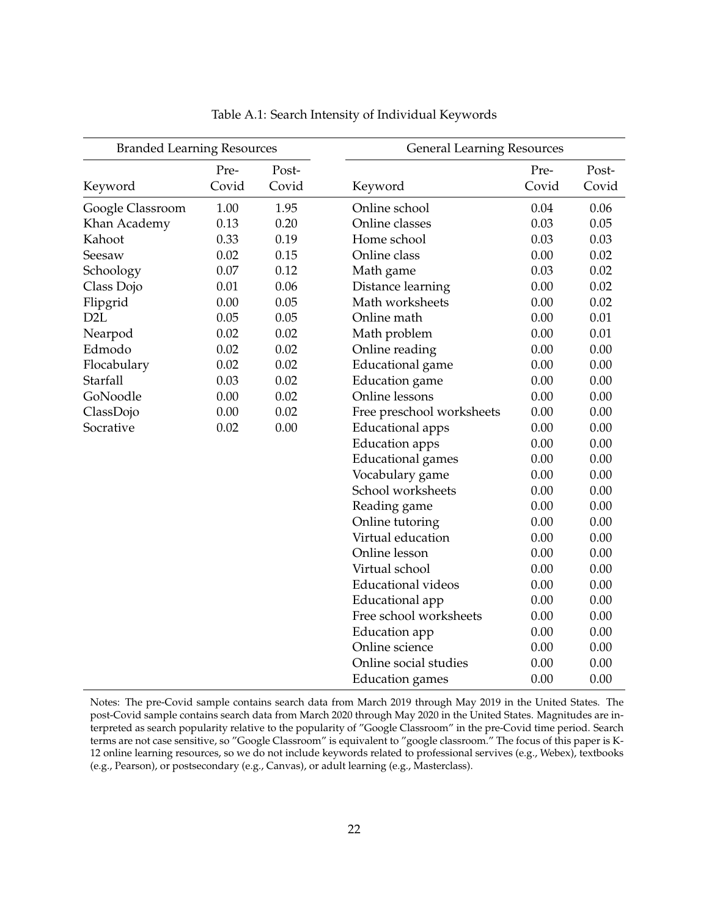<span id="page-23-0"></span>

| <b>Branded Learning Resources</b> |       |       | <b>General Learning Resources</b> |       |       |
|-----------------------------------|-------|-------|-----------------------------------|-------|-------|
|                                   | Pre-  | Post- |                                   | Pre-  | Post- |
| Keyword                           | Covid | Covid | Keyword                           | Covid | Covid |
| Google Classroom                  | 1.00  | 1.95  | Online school                     | 0.04  | 0.06  |
| Khan Academy                      | 0.13  | 0.20  | Online classes                    | 0.03  | 0.05  |
| Kahoot                            | 0.33  | 0.19  | Home school                       | 0.03  | 0.03  |
| Seesaw                            | 0.02  | 0.15  | Online class                      | 0.00  | 0.02  |
| Schoology                         | 0.07  | 0.12  | Math game                         | 0.03  | 0.02  |
| Class Dojo                        | 0.01  | 0.06  | Distance learning                 | 0.00  | 0.02  |
| Flipgrid                          | 0.00  | 0.05  | Math worksheets                   | 0.00  | 0.02  |
| D <sub>2</sub> L                  | 0.05  | 0.05  | Online math                       | 0.00  | 0.01  |
| Nearpod                           | 0.02  | 0.02  | Math problem                      | 0.00  | 0.01  |
| Edmodo                            | 0.02  | 0.02  | Online reading                    | 0.00  | 0.00  |
| Flocabulary                       | 0.02  | 0.02  | Educational game                  | 0.00  | 0.00  |
| Starfall                          | 0.03  | 0.02  | <b>Education</b> game             | 0.00  | 0.00  |
| GoNoodle                          | 0.00  | 0.02  | Online lessons                    | 0.00  | 0.00  |
| ClassDojo                         | 0.00  | 0.02  | Free preschool worksheets         | 0.00  | 0.00  |
| Socrative                         | 0.02  | 0.00  | Educational apps                  | 0.00  | 0.00  |
|                                   |       |       | <b>Education</b> apps             | 0.00  | 0.00  |
|                                   |       |       | <b>Educational</b> games          | 0.00  | 0.00  |
|                                   |       |       | Vocabulary game                   | 0.00  | 0.00  |
|                                   |       |       | School worksheets                 | 0.00  | 0.00  |
|                                   |       |       | Reading game                      | 0.00  | 0.00  |
|                                   |       |       | Online tutoring                   | 0.00  | 0.00  |
|                                   |       |       | Virtual education                 | 0.00  | 0.00  |
|                                   |       |       | Online lesson                     | 0.00  | 0.00  |
|                                   |       |       | Virtual school                    | 0.00  | 0.00  |
|                                   |       |       | <b>Educational videos</b>         | 0.00  | 0.00  |
|                                   |       |       | Educational app                   | 0.00  | 0.00  |
|                                   |       |       | Free school worksheets            | 0.00  | 0.00  |
|                                   |       |       | <b>Education</b> app              | 0.00  | 0.00  |
|                                   |       |       | Online science                    | 0.00  | 0.00  |
|                                   |       |       | Online social studies             | 0.00  | 0.00  |
|                                   |       |       | <b>Education</b> games            | 0.00  | 0.00  |

Table A.1: Search Intensity of Individual Keywords

Notes: The pre-Covid sample contains search data from March 2019 through May 2019 in the United States. The post-Covid sample contains search data from March 2020 through May 2020 in the United States. Magnitudes are interpreted as search popularity relative to the popularity of "Google Classroom" in the pre-Covid time period. Search terms are not case sensitive, so "Google Classroom" is equivalent to "google classroom." The focus of this paper is K-12 online learning resources, so we do not include keywords related to professional servives (e.g., Webex), textbooks (e.g., Pearson), or postsecondary (e.g., Canvas), or adult learning (e.g., Masterclass).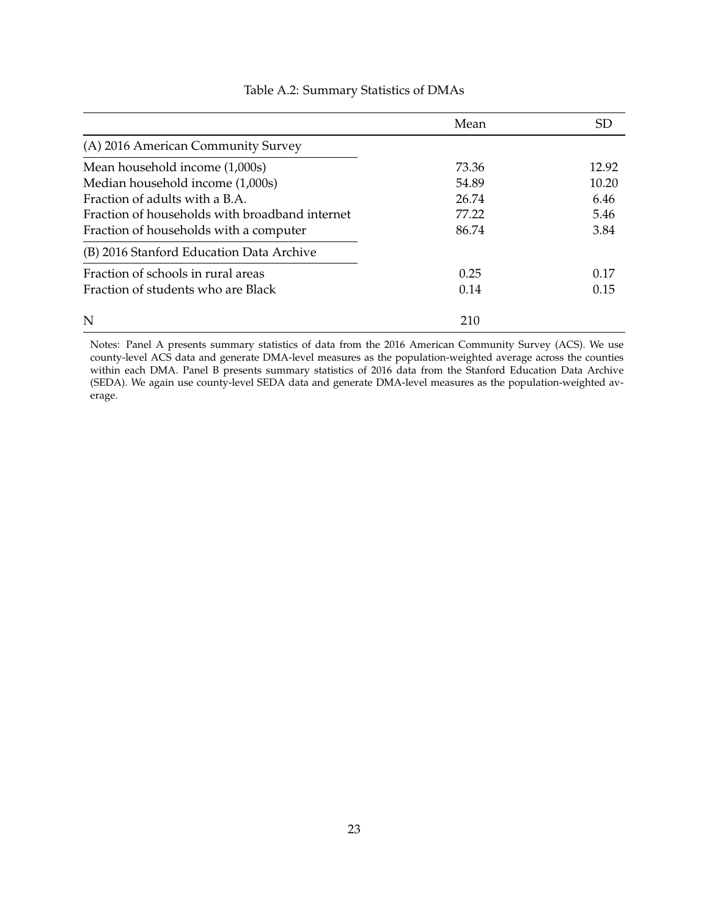<span id="page-24-0"></span>

|                                                | Mean  | SD.   |
|------------------------------------------------|-------|-------|
| (A) 2016 American Community Survey             |       |       |
| Mean household income (1,000s)                 | 73.36 | 12.92 |
| Median household income (1,000s)               | 54.89 | 10.20 |
| Fraction of adults with a B.A.                 | 26.74 | 6.46  |
| Fraction of households with broadband internet | 77.22 | 5.46  |
| Fraction of households with a computer         | 86.74 | 3.84  |
| (B) 2016 Stanford Education Data Archive       |       |       |
| Fraction of schools in rural areas             | 0.25  | 0.17  |
| Fraction of students who are Black             | 0.14  | 0.15  |
| N                                              | 210   |       |

#### Table A.2: Summary Statistics of DMAs

Notes: Panel A presents summary statistics of data from the 2016 American Community Survey (ACS). We use county-level ACS data and generate DMA-level measures as the population-weighted average across the counties within each DMA. Panel B presents summary statistics of 2016 data from the Stanford Education Data Archive (SEDA). We again use county-level SEDA data and generate DMA-level measures as the population-weighted average.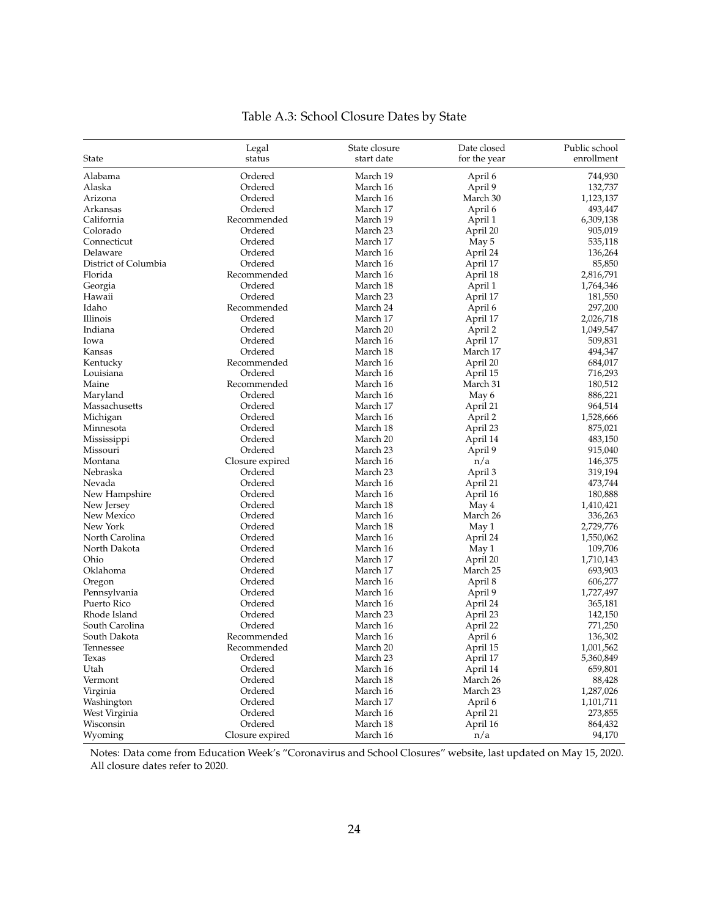<span id="page-25-0"></span>

|                      | Legal           | State closure | Date closed  | Public school |
|----------------------|-----------------|---------------|--------------|---------------|
| State                | status          | start date    | for the year | enrollment    |
| Alabama              | Ordered         | March 19      | April 6      | 744,930       |
| Alaska               | Ordered         | March 16      | April 9      | 132,737       |
| Arizona              | Ordered         | March 16      | March 30     | 1,123,137     |
| Arkansas             | Ordered         | March 17      | April 6      | 493,447       |
| California           | Recommended     | March 19      | April 1      | 6,309,138     |
| Colorado             | Ordered         | March 23      | April 20     | 905,019       |
| Connecticut          | Ordered         | March 17      | May 5        | 535,118       |
| Delaware             | Ordered         | March 16      | April 24     | 136,264       |
| District of Columbia | Ordered         | March 16      | April 17     | 85,850        |
| Florida              | Recommended     | March 16      | April 18     | 2,816,791     |
| Georgia              | Ordered         | March 18      | April 1      | 1,764,346     |
| Hawaii               | Ordered         | March 23      | April 17     | 181,550       |
| Idaho                | Recommended     | March 24      | April 6      | 297,200       |
| Illinois             | Ordered         | March 17      | April 17     | 2,026,718     |
| Indiana              | Ordered         | March 20      | April 2      | 1,049,547     |
| Iowa                 | Ordered         | March 16      | April 17     | 509,831       |
| Kansas               | Ordered         | March 18      | March 17     | 494,347       |
| Kentucky             | Recommended     | March 16      | April 20     | 684,017       |
| Louisiana            | Ordered         | March 16      | April 15     | 716,293       |
| Maine                | Recommended     | March 16      | March 31     | 180,512       |
| Maryland             | Ordered         | March 16      | May 6        | 886,221       |
| Massachusetts        | Ordered         | March 17      | April 21     | 964,514       |
| Michigan             | Ordered         | March 16      | April 2      | 1,528,666     |
| Minnesota            | Ordered         | March 18      | April 23     | 875,021       |
| Mississippi          | Ordered         | March 20      | April 14     | 483,150       |
| Missouri             | Ordered         | March 23      | April 9      | 915,040       |
| Montana              | Closure expired | March 16      | n/a          | 146,375       |
| Nebraska             | Ordered         | March 23      | April 3      | 319,194       |
| Nevada               | Ordered         | March 16      | April 21     | 473,744       |
| New Hampshire        | Ordered         | March 16      | April 16     | 180,888       |
| New Jersey           | Ordered         | March 18      | May 4        | 1,410,421     |
| New Mexico           | Ordered         | March 16      | March 26     | 336,263       |
| New York             | Ordered         | March 18      | May 1        | 2,729,776     |
| North Carolina       | Ordered         | March 16      | April 24     | 1,550,062     |
| North Dakota         | Ordered         | March 16      | May 1        | 109,706       |
| Ohio                 | Ordered         | March 17      | April 20     | 1,710,143     |
| Oklahoma             | Ordered         | March 17      | March 25     | 693,903       |
| Oregon               | Ordered         | March 16      | April 8      | 606,277       |
| Pennsylvania         | Ordered         | March 16      | April 9      | 1,727,497     |
| Puerto Rico          | Ordered         | March 16      | April 24     | 365,181       |
| Rhode Island         | Ordered         | March 23      | April 23     | 142,150       |
| South Carolina       | Ordered         | March 16      | April 22     | 771,250       |
| South Dakota         | Recommended     | March 16      | April 6      | 136,302       |
| Tennessee            | Recommended     | March 20      | April 15     | 1,001,562     |
| Texas                | Ordered         | March 23      | April 17     | 5,360,849     |
| Utah                 | Ordered         | March 16      | April 14     | 659,801       |
| Vermont              | Ordered         | March 18      | March 26     | 88,428        |
| Virginia             | Ordered         | March 16      | March 23     | 1,287,026     |
| Washington           | Ordered         | March 17      | April 6      | 1,101,711     |
| West Virginia        | Ordered         | March 16      | April 21     | 273,855       |
| Wisconsin            | Ordered         | March 18      | April 16     | 864,432       |
| Wyoming              | Closure expired | March 16      | n/a          | 94,170        |
|                      |                 |               |              |               |

# Table A.3: School Closure Dates by State

Notes: Data come from Education Week's "Coronavirus and School Closures" website, last updated on May 15, 2020. All closure dates refer to 2020.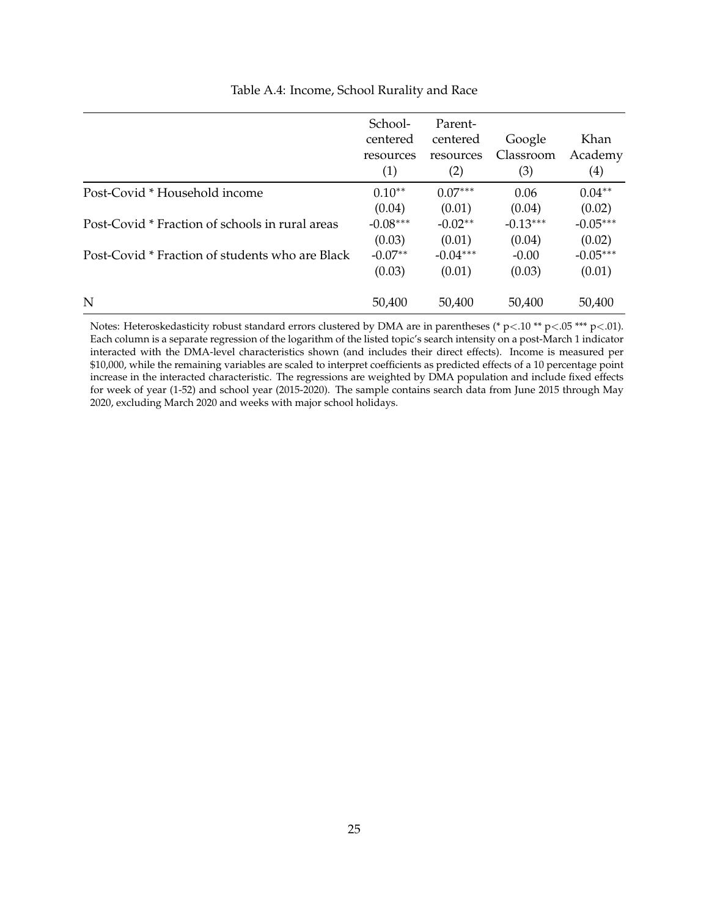<span id="page-26-0"></span>

|                                                 | School-<br>centered<br>resources<br>(1) | Parent-<br>centered<br>resources<br>(2) | Google<br>Classroom<br>(3) | Khan<br>Academy<br>(4) |
|-------------------------------------------------|-----------------------------------------|-----------------------------------------|----------------------------|------------------------|
| Post-Covid * Household income                   | $0.10**$                                | $0.07***$                               | 0.06                       | $0.04**$               |
|                                                 | (0.04)                                  | (0.01)                                  | (0.04)                     | (0.02)                 |
| Post-Covid * Fraction of schools in rural areas | $-0.08***$                              | $-0.02**$                               | $-0.13***$                 | $-0.05***$             |
|                                                 | (0.03)                                  | (0.01)                                  | (0.04)                     | (0.02)                 |
| Post-Covid * Fraction of students who are Black | $-0.07**$                               | $-0.04***$                              | $-0.00$                    | $-0.05***$             |
|                                                 | (0.03)                                  | (0.01)                                  | (0.03)                     | (0.01)                 |
| N                                               | 50,400                                  | 50,400                                  | 50,400                     | 50,400                 |

#### Table A.4: Income, School Rurality and Race

Notes: Heteroskedasticity robust standard errors clustered by DMA are in parentheses (\* p<.10 \*\* p<.05 \*\*\* p<.01). Each column is a separate regression of the logarithm of the listed topic's search intensity on a post-March 1 indicator interacted with the DMA-level characteristics shown (and includes their direct effects). Income is measured per \$10,000, while the remaining variables are scaled to interpret coefficients as predicted effects of a 10 percentage point increase in the interacted characteristic. The regressions are weighted by DMA population and include fixed effects for week of year (1-52) and school year (2015-2020). The sample contains search data from June 2015 through May 2020, excluding March 2020 and weeks with major school holidays.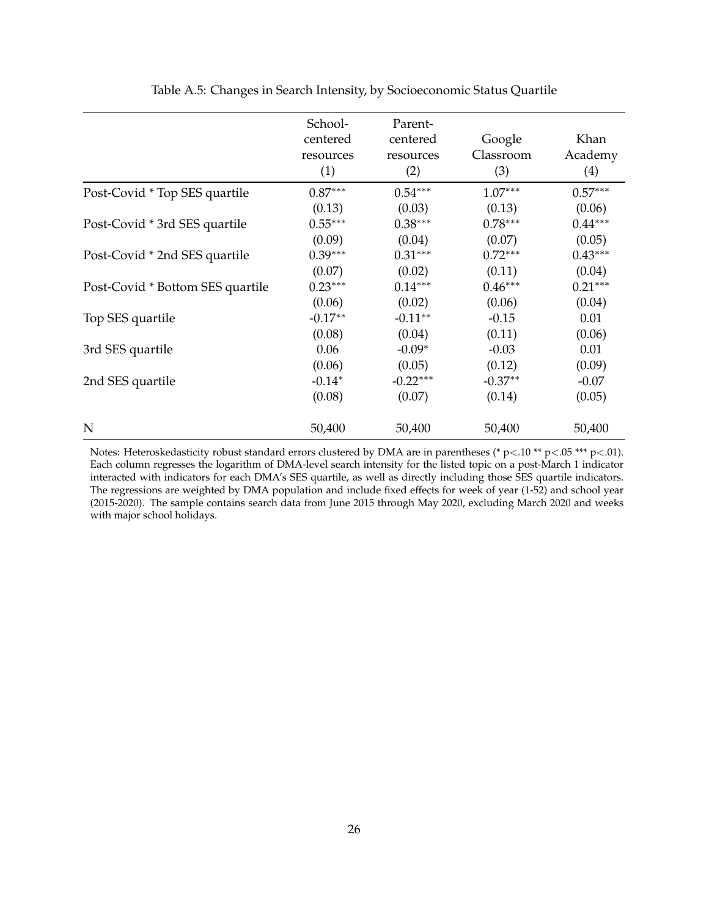<span id="page-27-0"></span>

|                                  | School-<br>centered<br>resources<br>(1) | Parent-<br>centered<br>resources<br>(2) | Google<br>Classroom<br>(3) | Khan<br>Academy<br>(4) |
|----------------------------------|-----------------------------------------|-----------------------------------------|----------------------------|------------------------|
| Post-Covid * Top SES quartile    | $0.87***$                               | $0.54***$                               | $1.07***$                  | $0.57***$              |
|                                  | (0.13)                                  | (0.03)                                  | (0.13)                     | (0.06)                 |
| Post-Covid * 3rd SES quartile    | $0.55***$                               | $0.38***$                               | $0.78***$                  | $0.44***$              |
|                                  | (0.09)                                  | (0.04)                                  | (0.07)                     | (0.05)                 |
| Post-Covid * 2nd SES quartile    | $0.39***$                               | $0.31***$                               | $0.72***$                  | $0.43***$              |
|                                  | (0.07)                                  | (0.02)                                  | (0.11)                     | (0.04)                 |
| Post-Covid * Bottom SES quartile | $0.23***$                               | $0.14***$                               | $0.46***$                  | $0.21***$              |
|                                  | (0.06)                                  | (0.02)                                  | (0.06)                     | (0.04)                 |
| Top SES quartile                 | $-0.17**$                               | $-0.11**$                               | $-0.15$                    | 0.01                   |
|                                  | (0.08)                                  | (0.04)                                  | (0.11)                     | (0.06)                 |
| 3rd SES quartile                 | 0.06                                    | $-0.09*$                                | $-0.03$                    | 0.01                   |
|                                  | (0.06)                                  | (0.05)                                  | (0.12)                     | (0.09)                 |
| 2nd SES quartile                 | $-0.14*$                                | $-0.22***$                              | $-0.37**$                  | $-0.07$                |
|                                  | (0.08)                                  | (0.07)                                  | (0.14)                     | (0.05)                 |
| N                                | 50,400                                  | 50,400                                  | 50,400                     | 50,400                 |

Table A.5: Changes in Search Intensity, by Socioeconomic Status Quartile

Notes: Heteroskedasticity robust standard errors clustered by DMA are in parentheses (\* p<.10 \*\* p<.05 \*\*\* p<.01). Each column regresses the logarithm of DMA-level search intensity for the listed topic on a post-March 1 indicator interacted with indicators for each DMA's SES quartile, as well as directly including those SES quartile indicators. The regressions are weighted by DMA population and include fixed effects for week of year (1-52) and school year (2015-2020). The sample contains search data from June 2015 through May 2020, excluding March 2020 and weeks with major school holidays.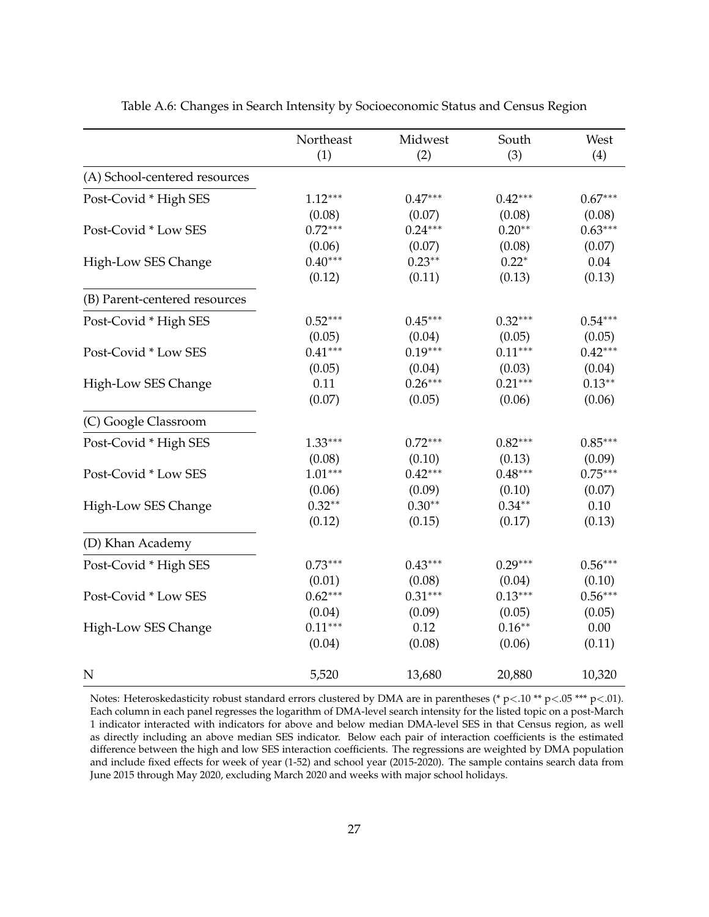<span id="page-28-0"></span>

|                               | Northeast | Midwest   | South     | West      |
|-------------------------------|-----------|-----------|-----------|-----------|
|                               | (1)       | (2)       | (3)       | (4)       |
| (A) School-centered resources |           |           |           |           |
| Post-Covid * High SES         | $1.12***$ | $0.47***$ | $0.42***$ | $0.67***$ |
|                               | (0.08)    | (0.07)    | (0.08)    | (0.08)    |
| Post-Covid * Low SES          | $0.72***$ | $0.24***$ | $0.20**$  | $0.63***$ |
|                               | (0.06)    | (0.07)    | (0.08)    | (0.07)    |
| High-Low SES Change           | $0.40***$ | $0.23**$  | $0.22*$   | 0.04      |
|                               | (0.12)    | (0.11)    | (0.13)    | (0.13)    |
| (B) Parent-centered resources |           |           |           |           |
| Post-Covid * High SES         | $0.52***$ | $0.45***$ | $0.32***$ | $0.54***$ |
|                               | (0.05)    | (0.04)    | (0.05)    | (0.05)    |
| Post-Covid * Low SES          | $0.41***$ | $0.19***$ | $0.11***$ | $0.42***$ |
|                               | (0.05)    | (0.04)    | (0.03)    | (0.04)    |
| High-Low SES Change           | 0.11      | $0.26***$ | $0.21***$ | $0.13***$ |
|                               | (0.07)    | (0.05)    | (0.06)    | (0.06)    |
| (C) Google Classroom          |           |           |           |           |
| Post-Covid * High SES         | $1.33***$ | $0.72***$ | $0.82***$ | $0.85***$ |
|                               | (0.08)    | (0.10)    | (0.13)    | (0.09)    |
| Post-Covid * Low SES          | $1.01***$ | $0.42***$ | $0.48***$ | $0.75***$ |
|                               | (0.06)    | (0.09)    | (0.10)    | (0.07)    |
| High-Low SES Change           | $0.32**$  | $0.30**$  | $0.34***$ | 0.10      |
|                               | (0.12)    | (0.15)    | (0.17)    | (0.13)    |
| (D) Khan Academy              |           |           |           |           |
| Post-Covid * High SES         | $0.73***$ | $0.43***$ | $0.29***$ | $0.56***$ |
|                               | (0.01)    | (0.08)    | (0.04)    | (0.10)    |
| Post-Covid * Low SES          | $0.62***$ | $0.31***$ | $0.13***$ | $0.56***$ |
|                               | (0.04)    | (0.09)    | (0.05)    | (0.05)    |
| High-Low SES Change           | $0.11***$ | 0.12      | $0.16**$  | 0.00      |
|                               | (0.04)    | (0.08)    | (0.06)    | (0.11)    |
| $\mathbf N$                   | 5,520     | 13,680    | 20,880    | 10,320    |

Table A.6: Changes in Search Intensity by Socioeconomic Status and Census Region

Notes: Heteroskedasticity robust standard errors clustered by DMA are in parentheses (\* p<.10 \*\* p<.05 \*\*\* p<.01). Each column in each panel regresses the logarithm of DMA-level search intensity for the listed topic on a post-March 1 indicator interacted with indicators for above and below median DMA-level SES in that Census region, as well as directly including an above median SES indicator. Below each pair of interaction coefficients is the estimated difference between the high and low SES interaction coefficients. The regressions are weighted by DMA population and include fixed effects for week of year (1-52) and school year (2015-2020). The sample contains search data from June 2015 through May 2020, excluding March 2020 and weeks with major school holidays.